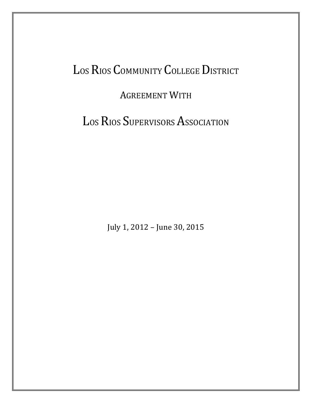# LOS RIOS COMMUNITY COLLEGE DISTRICT

### AGREEMENT WITH

LOS RIOS SUPERVISORS ASSOCIATION

July 1, 2012 – June 30, 2015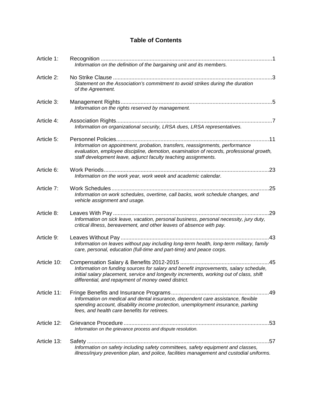### **Table of Contents**

| Article 1:  | Information on the definition of the bargaining unit and its members.                                                                                                                                                                                           |
|-------------|-----------------------------------------------------------------------------------------------------------------------------------------------------------------------------------------------------------------------------------------------------------------|
| Article 2:  | Statement on the Association's commitment to avoid strikes during the duration<br>of the Agreement.                                                                                                                                                             |
| Article 3:  | Information on the rights reserved by management.                                                                                                                                                                                                               |
| Article 4:  | Information on organizational security, LRSA dues, LRSA representatives.                                                                                                                                                                                        |
| Article 5:  | Personnel Policies<br>Information on appointment, probation, transfers, reassignments, performance<br>evaluation, employee discipline, demotion, examination of records, professional growth,<br>staff development leave, adjunct faculty teaching assignments. |
| Article 6:  | .23<br>Information on the work year, work week and academic calendar.                                                                                                                                                                                           |
| Article 7:  | Information on work schedules, overtime, call backs, work schedule changes, and<br>vehicle assignment and usage.                                                                                                                                                |
| Article 8:  | Information on sick leave, vacation, personal business, personal necessity, jury duty,<br>critical illness, bereavement, and other leaves of absence with pay.                                                                                                  |
| Article 9:  | .43<br>Information on leaves without pay including long-term health, long-term military, family<br>care, personal, education (full-time and part-time) and peace corps.                                                                                         |
| Article 10: | Information on funding sources for salary and benefit improvements, salary schedule,<br>initial salary placement, service and longevity increments, working out of class, shift<br>differential, and repayment of money owed district.                          |
| Article 11: | Information on medical and dental insurance, dependent care assistance, flexible<br>spending account, disability income protection, unemployment insurance, parking<br>fees, and health care benefits for retirees.                                             |
| Article 12: | Information on the grievance process and dispute resolution.                                                                                                                                                                                                    |
| Article 13: | Information on safety including safety committees, safety equipment and classes,<br>illness/injury prevention plan, and police, facilities management and custodial uniforms.                                                                                   |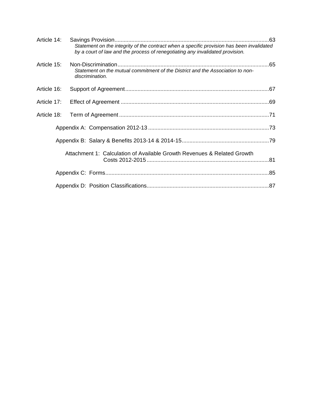| Article 14: |                                                                                                                                                                            |  |
|-------------|----------------------------------------------------------------------------------------------------------------------------------------------------------------------------|--|
|             | Statement on the integrity of the contract when a specific provision has been invalidated<br>by a court of law and the process of renegotiating any invalidated provision. |  |
| Article 15: | Statement on the mutual commitment of the District and the Association to non-<br>discrimination.                                                                          |  |
| Article 16: |                                                                                                                                                                            |  |
| Article 17: |                                                                                                                                                                            |  |
| Article 18: |                                                                                                                                                                            |  |
|             |                                                                                                                                                                            |  |
|             |                                                                                                                                                                            |  |
|             | Attachment 1: Calculation of Available Growth Revenues & Related Growth                                                                                                    |  |
|             |                                                                                                                                                                            |  |
|             |                                                                                                                                                                            |  |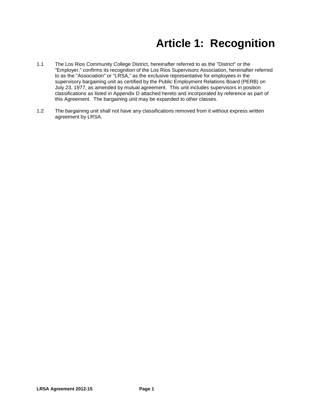## **Article 1: Recognition**

- 1.1 The Los Rios Community College District, hereinafter referred to as the "District" or the "Employer," confirms its recognition of the Los Rios Supervisors Association, hereinafter referred to as the "Association" or "LRSA," as the exclusive representative for employees in the supervisory bargaining unit as certified by the Public Employment Relations Board (PERB) on July 23, 1977, as amended by mutual agreement. This unit includes supervisors in position classifications as listed in Appendix D attached hereto and incorporated by reference as part of this Agreement. The bargaining unit may be expanded to other classes.
- 1.2 The bargaining unit shall not have any classifications removed from it without express written agreement by LRSA.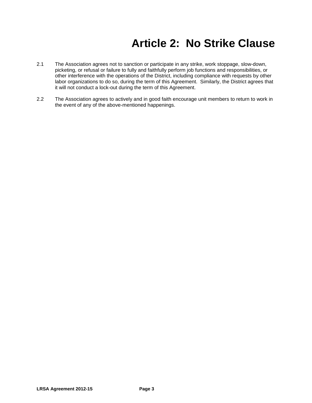## **Article 2: No Strike Clause**

- 2.1 The Association agrees not to sanction or participate in any strike, work stoppage, slow-down, picketing, or refusal or failure to fully and faithfully perform job functions and responsibilities, or other interference with the operations of the District, including compliance with requests by other labor organizations to do so, during the term of this Agreement. Similarly, the District agrees that it will not conduct a lock-out during the term of this Agreement.
- 2.2 The Association agrees to actively and in good faith encourage unit members to return to work in the event of any of the above-mentioned happenings.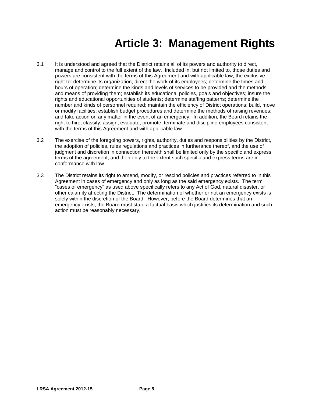## **Article 3: Management Rights**

- 3.1 It is understood and agreed that the District retains all of its powers and authority to direct, manage and control to the full extent of the law. Included in, but not limited to, those duties and powers are consistent with the terms of this Agreement and with applicable law, the exclusive right to: determine its organization; direct the work of its employees; determine the times and hours of operation; determine the kinds and levels of services to be provided and the methods and means of providing them; establish its educational policies, goals and objectives; insure the rights and educational opportunities of students; determine staffing patterns; determine the number and kinds of personnel required; maintain the efficiency of District operations; build, move or modify facilities; establish budget procedures and determine the methods of raising revenues; and take action on any matter in the event of an emergency. In addition, the Board retains the right to hire, classify, assign, evaluate, promote, terminate and discipline employees consistent with the terms of this Agreement and with applicable law.
- 3.2 The exercise of the foregoing powers, rights, authority, duties and responsibilities by the District, the adoption of policies, rules regulations and practices in furtherance thereof, and the use of judgment and discretion in connection therewith shall be limited only by the specific and express terms of the agreement, and then only to the extent such specific and express terms are in conformance with law.
- 3.3 The District retains its right to amend, modify, or rescind policies and practices referred to in this Agreement in cases of emergency and only as long as the said emergency exists. The term "cases of emergency" as used above specifically refers to any Act of God, natural disaster, or other calamity affecting the District. The determination of whether or not an emergency exists is solely within the discretion of the Board. However, before the Board determines that an emergency exists, the Board must state a factual basis which justifies its determination and such action must be reasonably necessary.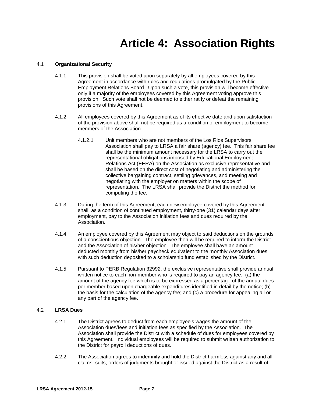### **Article 4: Association Rights**

#### 4.1 **Organizational Security**

- 4.1.1 This provision shall be voted upon separately by all employees covered by this Agreement in accordance with rules and regulations promulgated by the Public Employment Relations Board. Upon such a vote, this provision will become effective only if a majority of the employees covered by this Agreement voting approve this provision. Such vote shall not be deemed to either ratify or defeat the remaining provisions of this Agreement.
- 4.1.2 All employees covered by this Agreement as of its effective date and upon satisfaction of the provision above shall not be required as a condition of employment to become members of the Association.
	- 4.1.2.1 Unit members who are not members of the Los Rios Supervisors Association shall pay to LRSA a fair share (agency) fee. This fair share fee shall be the minimum amount necessary for the LRSA to carry out the representational obligations imposed by Educational Employment Relations Act (EERA) on the Association as exclusive representative and shall be based on the direct cost of negotiating and administering the collective bargaining contract, settling grievances, and meeting and negotiating with the employer on matters within the scope of representation. The LRSA shall provide the District the method for computing the fee.
- 4.1.3 During the term of this Agreement, each new employee covered by this Agreement shall, as a condition of continued employment, thirty-one (31) calendar days after employment, pay to the Association initiation fees and dues required by the Association.
- 4.1.4 An employee covered by this Agreement may object to said deductions on the grounds of a conscientious objection. The employee then will be required to inform the District and the Association of his/her objection. The employee shall have an amount deducted monthly from his/her paycheck equivalent to the monthly Association dues with such deduction deposited to a scholarship fund established by the District.
- 4.1.5 Pursuant to PERB Regulation 32992, the exclusive representative shall provide annual written notice to each non-member who is required to pay an agency fee: (a) the amount of the agency fee which is to be expressed as a percentage of the annual dues per member based upon chargeable expenditures identified in detail by the notice; (b) the basis for the calculation of the agency fee; and (c) a procedure for appealing all or any part of the agency fee.

#### 4.2 **LRSA Dues**

- 4.2.1 The District agrees to deduct from each employee's wages the amount of the Association dues/fees and initiation fees as specified by the Association. The Association shall provide the District with a schedule of dues for employees covered by this Agreement. Individual employees will be required to submit written authorization to the District for payroll deductions of dues.
- 4.2.2 The Association agrees to indemnify and hold the District harmless against any and all claims, suits, orders of judgments brought or issued against the District as a result of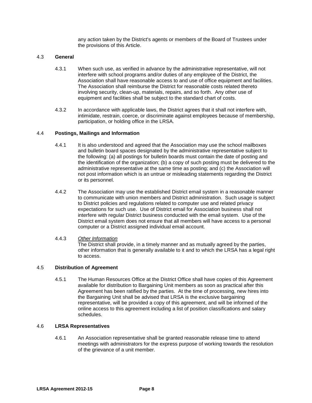any action taken by the District's agents or members of the Board of Trustees under the provisions of this Article.

#### 4.3 **General**

- 4.3.1 When such use, as verified in advance by the administrative representative, will not interfere with school programs and/or duties of any employee of the District, the Association shall have reasonable access to and use of office equipment and facilities. The Association shall reimburse the District for reasonable costs related thereto involving security, clean-up, materials, repairs, and so forth. Any other use of equipment and facilities shall be subject to the standard chart of costs.
- 4.3.2 In accordance with applicable laws, the District agrees that it shall not interfere with, intimidate, restrain, coerce, or discriminate against employees because of membership, participation, or holding office in the LRSA.

#### 4.4 **Postings, Mailings and Information**

- 4.4.1 It is also understood and agreed that the Association may use the school mailboxes and bulletin board spaces designated by the administrative representative subject to the following: (a) all postings for bulletin boards must contain the date of posting and the identification of the organization; (b) a copy of such posting must be delivered to the administrative representative at the same time as posting; and (c) the Association will not post information which is an untrue or misleading statements regarding the District or its personnel.
- 4.4.2 The Association may use the established District email system in a reasonable manner to communicate with union members and District administration. Such usage is subject to District policies and regulations related to computer use and related privacy expectations for such use. Use of District email for Association business shall not interfere with regular District business conducted with the email system. Use of the District email system does not ensure that all members will have access to a personal computer or a District assigned individual email account.

#### 4.4.3 *Other Information*

The District shall provide, in a timely manner and as mutually agreed by the parties, other information that is generally available to it and to which the LRSA has a legal right to access.

#### 4.5 **Distribution of Agreement**

4.5.1 The Human Resources Office at the District Office shall have copies of this Agreement available for distribution to Bargaining Unit members as soon as practical after this Agreement has been ratified by the parties. At the time of processing, new hires into the Bargaining Unit shall be advised that LRSA is the exclusive bargaining representative, will be provided a copy of this agreement, and will be informed of the online access to this agreement including a list of position classifications and salary schedules.

#### 4.6 **LRSA Representatives**

4.6.1 An Association representative shall be granted reasonable release time to attend meetings with administrators for the express purpose of working towards the resolution of the grievance of a unit member.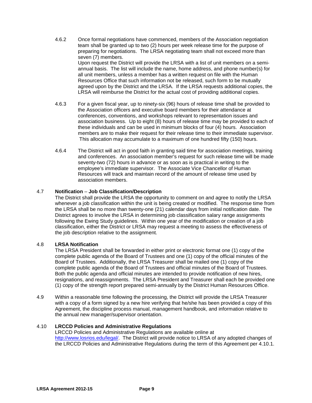- 4.6.2 Once formal negotiations have commenced, members of the Association negotiation team shall be granted up to two (2) hours per week release time for the purpose of preparing for negotiations. The LRSA negotiating team shall not exceed more than seven (7) members. Upon request the District will provide the LRSA with a list of unit members on a semiannual basis. The list will include the name, home address, and phone number(s) for all unit members, unless a member has a written request on file with the Human Resources Office that such information not be released, such form to be mutually agreed upon by the District and the LRSA. If the LRSA requests additional copies, the LRSA will reimburse the District for the actual cost of providing additional copies.
- 4.6.3 For a given fiscal year, up to ninety-six (96) hours of release time shall be provided to the Association officers and executive board members for their attendance at conferences, conventions, and workshops relevant to representation issues and association business. Up to eight (8) hours of release time may be provided to each of these individuals and can be used in minimum blocks of four (4) hours. Association members are to make their request for their release time to their immediate supervisor. This allocation may accumulate to a maximum of one hundred fifty (150) hours.
- 4.6.4 The District will act in good faith in granting said time for association meetings, training and conferences. An association member's request for such release time will be made seventy-two (72) hours in advance or as soon as is practical in writing to the employee's immediate supervisor. The Associate Vice Chancellor of Human Resources will track and maintain record of the amount of release time used by association members.

#### 4.7 **Notification** *–* **Job Classification/Description**

The District shall provide the LRSA the opportunity to comment on and agree to notify the LRSA whenever a job classification within the unit is being created or modified. The response time from the LRSA shall be no more than twenty-one (21) calendar days from initial notification date. The District agrees to involve the LRSA in determining job classification salary range assignments following the Ewing Study guidelines. Within one year of the modification or creation of a job classification, either the District or LRSA may request a meeting to assess the effectiveness of the job description relative to the assignment.

#### 4.8 **LRSA Notification**

The LRSA President shall be forwarded in either print or electronic format one (1) copy of the complete public agenda of the Board of Trustees and one (1) copy of the official minutes of the Board of Trustees. Additionally, the LRSA Treasurer shall be mailed one (1) copy of the complete public agenda of the Board of Trustees and official minutes of the Board of Trustees. Both the public agenda and official minutes are intended to provide notification of new hires, resignations, and reassignments. The LRSA President and Treasurer shall each be provided one (1) copy of the strength report prepared semi-annually by the District Human Resources Office.

4.9 Within a reasonable time following the processing, the District will provide the LRSA Treasurer with a copy of a form signed by a new hire verifying that he/she has been provided a copy of this Agreement, the discipline process manual, management handbook, and information relative to the annual new manager/supervisor orientation.

#### 4.10 **LRCCD Policies and Administrative Regulations**

LRCCD Policies and Administrative Regulations are available online at [http://www.losrios.edu/legal/.](http://www.losrios.edu/legal/) The District will provide notice to LRSA of any adopted changes of the LRCCD Policies and Administrative Regulations during the term of this Agreement per 4.10.1.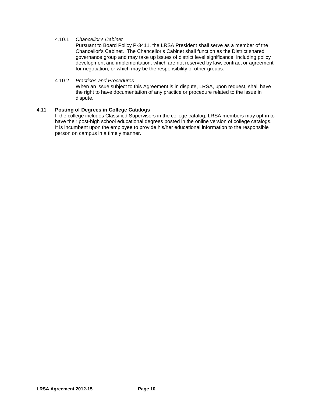#### 4.10.1 *Chancellor's Cabinet*

Pursuant to Board Policy P-3411, the LRSA President shall serve as a member of the Chancellor's Cabinet. The Chancellor's Cabinet shall function as the District shared governance group and may take up issues of district level significance, including policy development and implementation, which are not reserved by law, contract or agreement for negotiation, or which may be the responsibility of other groups.

#### 4.10.2 *Practices and Procedures*

When an issue subject to this Agreement is in dispute, LRSA, upon request, shall have the right to have documentation of any practice or procedure related to the issue in dispute.

#### 4.11 **Posting of Degrees in College Catalogs**

If the college includes Classified Supervisors in the college catalog, LRSA members may opt-in to have their post-high school educational degrees posted in the online version of college catalogs. It is incumbent upon the employee to provide his/her educational information to the responsible person on campus in a timely manner.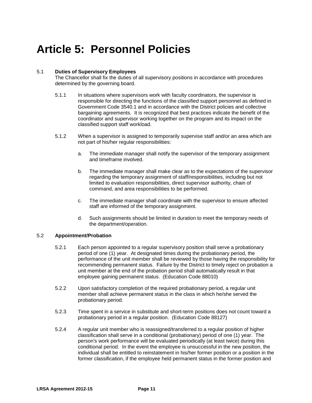### **Article 5: Personnel Policies**

#### 5.1 **Duties of Supervisory Employees**

The Chancellor shall fix the duties of all supervisory positions in accordance with procedures determined by the governing board.

- 5.1.1 In situations where supervisors work with faculty coordinators, the supervisor is responsible for directing the functions of the classified support personnel as defined in Government Code 3540.1 and in accordance with the District policies and collective bargaining agreements. It is recognized that best practices indicate the benefit of the coordinator and supervisor working together on the program and its impact on the classified support staff workload.
- 5.1.2 When a supervisor is assigned to temporarily supervise staff and/or an area which are not part of his/her regular responsibilities:
	- a. The immediate manager shall notify the supervisor of the temporary assignment and timeframe involved.
	- b. The immediate manager shall make clear as to the expectations of the supervisor regarding the temporary assignment of staff/responsibilities, including but not limited to evaluation responsibilities, direct supervisor authority, chain of command, and area responsibilities to be performed.
	- c. The immediate manager shall coordinate with the supervisor to ensure affected staff are informed of the temporary assignment.
	- d. Such assignments should be limited in duration to meet the temporary needs of the department/operation.

#### 5.2 **Appointment/Probation**

- 5.2.1 Each person appointed to a regular supervisory position shall serve a probationary period of one (1) year. At designated times during the probationary period, the performance of the unit member shall be reviewed by those having the responsibility for recommending permanent status. Failure by the District to timely reject on probation a unit member at the end of the probation period shall automatically result in that employee gaining permanent status. (Education Code 88010)
- 5.2.2 Upon satisfactory completion of the required probationary period, a regular unit member shall achieve permanent status in the class in which he/she served the probationary period.
- 5.2.3 Time spent in a service in substitute and short-term positions does not count toward a probationary period in a regular position. (Education Code 88127)
- 5.2.4 A regular unit member who is reassigned/transferred to a regular position of higher classification shall serve in a conditional (probationary) period of one (1) year. The person's work performance will be evaluated periodically (at least twice) during this conditional period. In the event the employee is unsuccessful in the new position, the individual shall be entitled to reinstatement in his/her former position or a position in the former classification, if the employee held permanent status in the former position and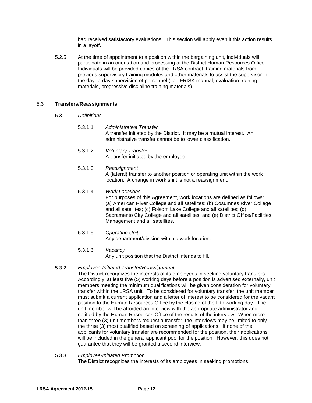had received satisfactory evaluations. This section will apply even if this action results in a layoff.

5.2.5 At the time of appointment to a position within the bargaining unit, individuals will participate in an orientation and processing at the District Human Resources Office. Individuals will be provided copies of the LRSA contract, training materials from previous supervisory training modules and other materials to assist the supervisor in the day-to-day supervision of personnel (i.e., FRISK manual, evaluation training materials, progressive discipline training materials).

#### 5.3 **Transfers/Reassignments**

- 5.3.1 *Definitions*
	- 5.3.1.1 *Administrative Transfer* A transfer initiated by the District. It may be a mutual interest. An administrative transfer cannot be to lower classification.
	- 5.3.1.2 *Voluntary Transfer* A transfer initiated by the employee.
	- 5.3.1.3 *Reassignment* A (lateral) transfer to another position or operating unit within the work location. A change in work shift is not a reassignment.
	- 5.3.1.4 *Work Locations* For purposes of this Agreement, work locations are defined as follows: (a) American River College and all satellites; (b) Cosumnes River College and all satellites; (c) Folsom Lake College and all satellites; (d) Sacramento City College and all satellites; and (e) District Office/Facilities Management and all satellites.
	- 5.3.1.5 *Operating Unit* Any department/division within a work location.
	- 5.3.1.6 *Vacancy*

Any unit position that the District intends to fill.

#### 5.3.2 *Employee-Initiated Transfer/Reassignment*

The District recognizes the interests of its employees in seeking voluntary transfers. Accordingly, at least five (5) working days before a position is advertised externally, unit members meeting the minimum qualifications will be given consideration for voluntary transfer within the LRSA unit. To be considered for voluntary transfer, the unit member must submit a current application and a letter of interest to be considered for the vacant position to the Human Resources Office by the closing of the fifth working day. The unit member will be afforded an interview with the appropriate administrator and notified by the Human Resources Office of the results of the interview. When more than three (3) unit members request a transfer, the interviews may be limited to only the three (3) most qualified based on screening of applications. If none of the applicants for voluntary transfer are recommended for the position, their applications will be included in the general applicant pool for the position. However, this does not guarantee that they will be granted a second interview.

5.3.3 *Employee-Initiated Promotion*

The District recognizes the interests of its employees in seeking promotions.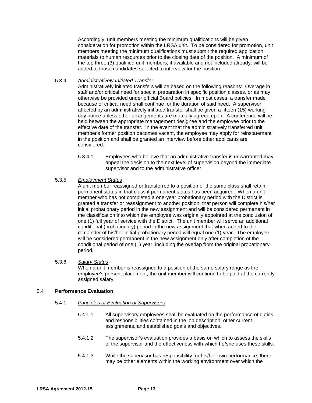Accordingly, unit members meeting the minimum qualifications will be given consideration for promotion within the LRSA unit. To be considered for promotion, unit members meeting the minimum qualifications must submit the required application materials to human resources prior to the closing date of the position. A minimum of the top three (3) qualified unit members, if available and not included already, will be added to those candidates selected to interview for the position.

#### 5.3.4 *Administratively Initiated Transfer*

Administratively initiated transfers will be based on the following reasons: Overage in staff and/or critical need for special preparation in specific position classes, or as may otherwise be provided under official Board policies. In most cases, a transfer made because of critical need shall continue for the duration of said need. A supervisor affected by an administratively initiated transfer shall be given a fifteen (15) working day notice unless other arrangements are mutually agreed upon. A conference will be held between the appropriate management designee and the employee prior to the effective date of the transfer. In the event that the administratively transferred unit member's former position becomes vacant, the employee may apply for reinstatement in the position and shall be granted an interview before other applicants are considered.

5.3.4.1 Employees who believe that an administrative transfer is unwarranted may appeal the decision to the next level of supervision beyond the immediate supervisor and to the administrative officer.

#### 5.3.5 *Employment Status*

A unit member reassigned or transferred to a position of the same class shall retain permanent status in that class if permanent status has been acquired. When a unit member who has not completed a one-year probationary period with the District is granted a transfer or reassignment to another position, that person will complete his/her initial probationary period in the new assignment and will be considered permanent in the classification into which the employee was originally appointed at the conclusion of one (1) full year of service with the District. The unit member will serve an additional conditional (probationary) period in the new assignment that when added to the remainder of his/her initial probationary period will equal one (1) year. The employee will be considered permanent in the new assignment only after completion of the conditional period of one (1) year, including the overlap from the original probationary period.

#### 5.3.6 *Salary Status*

When a unit member is reassigned to a position of the same salary range as the employee's present placement, the unit member will continue to be paid at the currently assigned salary.

#### 5.4 **Performance Evaluation**

- 5.4.1 *Principles of Evaluation of Supervisors*
	- 5.4.1.1 All supervisory employees shall be evaluated on the performance of duties and responsibilities contained in the job description, other current assignments, and established goals and objectives.
	- 5.4.1.2 The supervisor's evaluation provides a basis on which to assess the skills of the supervisor and the effectiveness with which he/she uses these skills.
	- 5.4.1.3 While the supervisor has responsibility for his/her own performance, there may be other elements within the working environment over which the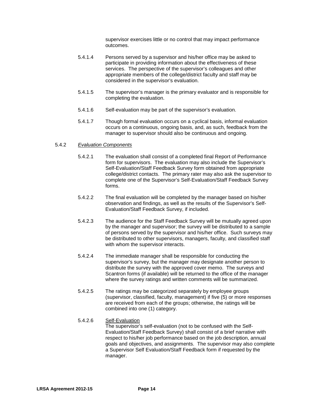supervisor exercises little or no control that may impact performance outcomes.

- 5.4.1.4 Persons served by a supervisor and his/her office may be asked to participate in providing information about the effectiveness of these services. The perspective of the supervisor's colleagues and other appropriate members of the college/district faculty and staff may be considered in the supervisor's evaluation.
- 5.4.1.5 The supervisor's manager is the primary evaluator and is responsible for completing the evaluation.
- 5.4.1.6 Self-evaluation may be part of the supervisor's evaluation.
- 5.4.1.7 Though formal evaluation occurs on a cyclical basis, informal evaluation occurs on a continuous, ongoing basis, and, as such, feedback from the manager to supervisor should also be continuous and ongoing.

#### 5.4.2 *Evaluation Components*

- 5.4.2.1 The evaluation shall consist of a completed final Report of Performance form for supervisors. The evaluation may also include the Supervisor's Self-Evaluation/Staff Feedback Survey form obtained from appropriate college/district contacts. The primary rater may also ask the supervisor to complete one of the Supervisor's Self-Evaluation/Staff Feedback Survey forms.
- 5.4.2.2 The final evaluation will be completed by the manager based on his/her observation and findings, as well as the results of the Supervisor's Self-Evaluation/Staff Feedback Survey, if included.
- 5.4.2.3 The audience for the Staff Feedback Survey will be mutually agreed upon by the manager and supervisor; the survey will be distributed to a sample of persons served by the supervisor and his/her office. Such surveys may be distributed to other supervisors, managers, faculty, and classified staff with whom the supervisor interacts.
- 5.4.2.4 The immediate manager shall be responsible for conducting the supervisor's survey, but the manager may designate another person to distribute the survey with the approved cover memo. The surveys and Scantron forms (if available) will be returned to the office of the manager where the survey ratings and written comments will be summarized.
- 5.4.2.5 The ratings may be categorized separately by employee groups (supervisor, classified, faculty, management) if five (5) or more responses are received from each of the groups; otherwise, the ratings will be combined into one (1) category.

#### 5.4.2.6 Self-Evaluation

The supervisor's self-evaluation (not to be confused with the Self-Evaluation/Staff Feedback Survey) shall consist of a brief narrative with respect to his/her job performance based on the job description, annual goals and objectives, and assignments. The supervisor may also complete a Supervisor Self Evaluation/Staff Feedback form if requested by the manager.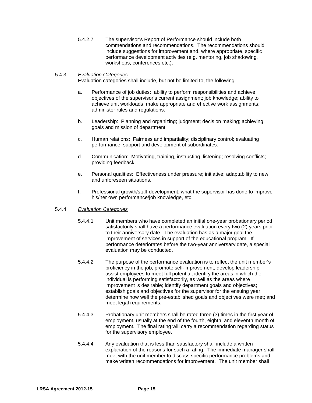5.4.2.7 The supervisor's Report of Performance should include both commendations and recommendations. The recommendations should include suggestions for improvement and, where appropriate, specific performance development activities (e.g. mentoring, job shadowing, workshops, conferences etc.).

#### 5.4.3 *Evaluation Categories*

Evaluation categories shall include, but not be limited to, the following:

- a. Performance of job duties: ability to perform responsibilities and achieve objectives of the supervisor's current assignment; job knowledge; ability to achieve unit workloads; make appropriate and effective work assignments; administer rules and regulations.
- b. Leadership: Planning and organizing; judgment; decision making; achieving goals and mission of department.
- c. Human relations: Fairness and impartiality; disciplinary control; evaluating performance; support and development of subordinates.
- d. Communication: Motivating, training, instructing, listening; resolving conflicts; providing feedback.
- e. Personal qualities: Effectiveness under pressure; initiative; adaptability to new and unforeseen situations.
- f. Professional growth/staff development: what the supervisor has done to improve his/her own performance/job knowledge, etc.

#### 5.4.4 *Evaluation Categories*

- 5.4.4.1 Unit members who have completed an initial one-year probationary period satisfactorily shall have a performance evaluation every two (2) years prior to their anniversary date. The evaluation has as a major goal the improvement of services in support of the educational program. If performance deteriorates before the two-year anniversary date, a special evaluation may be conducted.
- 5.4.4.2 The purpose of the performance evaluation is to reflect the unit member's proficiency in the job; promote self-improvement; develop leadership; assist employees to meet full potential; identify the areas in which the individual is performing satisfactorily, as well as the areas where improvement is desirable; identify department goals and objectives; establish goals and objectives for the supervisor for the ensuing year; determine how well the pre-established goals and objectives were met; and meet legal requirements.
- 5.4.4.3 Probationary unit members shall be rated three (3) times in the first year of employment, usually at the end of the fourth, eighth, and eleventh month of employment. The final rating will carry a recommendation regarding status for the supervisory employee.
- 5.4.4.4 Any evaluation that is less than satisfactory shall include a written explanation of the reasons for such a rating. The immediate manager shall meet with the unit member to discuss specific performance problems and make written recommendations for improvement. The unit member shall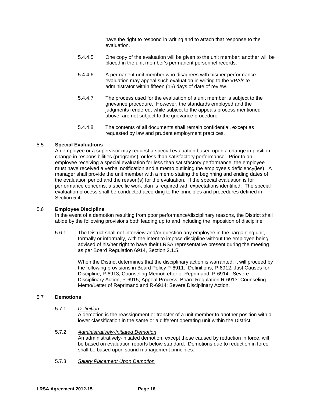have the right to respond in writing and to attach that response to the evaluation.

- 5.4.4.5 One copy of the evaluation will be given to the unit member; another will be placed in the unit member's permanent personnel records.
- 5.4.4.6 A permanent unit member who disagrees with his/her performance evaluation may appeal such evaluation in writing to the VPA/site administrator within fifteen (15) days of date of review.
- 5.4.4.7 The process used for the evaluation of a unit member is subject to the grievance procedure. However, the standards employed and the judgments rendered, while subject to the appeals process mentioned above, are not subject to the grievance procedure.
- 5.4.4.8 The contents of all documents shall remain confidential, except as requested by law and prudent employment practices.

#### 5.5 **Special Evaluations**

An employee or a supervisor may request a special evaluation based upon a change in position, change in responsibilities (programs), or less than satisfactory performance. Prior to an employee receiving a special evaluation for less than satisfactory performance, the employee must have received a verbal notification and a memo outlining the employee's deficiency(ies). A manager shall provide the unit member with a memo stating the beginning and ending dates of the evaluation period and the reason(s) for the evaluation. If the special evaluation is for performance concerns, a specific work plan is required with expectations identified. The special evaluation process shall be conducted according to the principles and procedures defined in Section 5.4.

#### 5.6 **Employee Discipline**

In the event of a demotion resulting from poor performance/disciplinary reasons, the District shall abide by the following provisions both leading up to and including the imposition of discipline.

5.6.1 The District shall not interview and/or question any employee in the bargaining unit, formally or informally, with the intent to impose discipline without the employee being advised of his/her right to have their LRSA representative present during the meeting as per Board Regulation 6914, Section 2.1.5.

> When the District determines that the disciplinary action is warranted, it will proceed by the following provisions in Board Policy P-6911: Definitions, P-6912: Just Causes for Discipline, P-6913; Counseling Memo/Letter of Reprimand, P-6914: Severe Disciplinary Action, P-6915; Appeal Process: Board Regulation R-6913: Counseling Memo/Letter of Reprimand and R-6914: Severe Disciplinary Action.

#### 5.7 **Demotions**

5.7.1 *Definition*

A demotion is the reassignment or transfer of a unit member to another position with a lower classification in the same or a different operating unit within the District.

#### 5.7.2 *Administratively-Initiated Demotion*

An administratively-initiated demotion, except those caused by reduction in force, will be based on evaluation reports below standard. Demotions due to reduction in force shall be based upon sound management principles.

5.7.3 *Salary Placement Upon Demotion*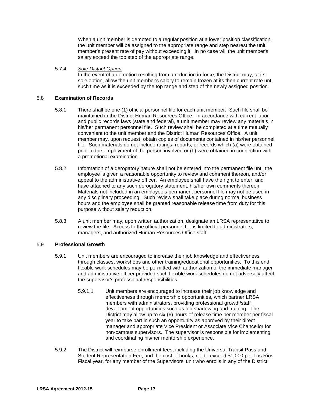When a unit member is demoted to a regular position at a lower position classification, the unit member will be assigned to the appropriate range and step nearest the unit member's present rate of pay without exceeding it. In no case will the unit member's salary exceed the top step of the appropriate range.

#### 5.7.4 *Sole District Option*

In the event of a demotion resulting from a reduction in force, the District may, at its sole option, allow the unit member's salary to remain frozen at its then current rate until such time as it is exceeded by the top range and step of the newly assigned position.

#### 5.8 **Examination of Records**

- 5.8.1 There shall be one (1) official personnel file for each unit member. Such file shall be maintained in the District Human Resources Office. In accordance with current labor and public records laws (state and federal), a unit member may review any materials in his/her permanent personnel file. Such review shall be completed at a time mutually convenient to the unit member and the District Human Resources Office. A unit member may, upon request, obtain copies of documents contained in his/her personnel file.Such materials do not include ratings, reports, or records which (a) were obtained prior to the employment of the person involved or (b) were obtained in connection with a promotional examination.
- 5.8.2 Information of a derogatory nature shall not be entered into the permanent file until the employee is given a reasonable opportunity to review and comment thereon, and/or appeal to the administrative officer. An employee shall have the right to enter, and have attached to any such derogatory statement, his/her own comments thereon. Materials not included in an employee's permanent personnel file may not be used in any disciplinary proceeding. Such review shall take place during normal business hours and the employee shall be granted reasonable release time from duty for this purpose without salary reduction.
- 5.8.3 A unit member may, upon written authorization, designate an LRSA representative to review the file. Access to the official personnel file is limited to administrators, managers, and authorized Human Resources Office staff.

#### 5.9 **Professional Growth**

- 5.9.1 Unit members are encouraged to increase their job knowledge and effectiveness through classes, workshops and other training/educational opportunities. To this end, flexible work schedules may be permitted with authorization of the immediate manager and administrative officer provided such flexible work schedules do not adversely affect the supervisor's professional responsibilities.
	- 5.9.1.1 Unit members are encouraged to increase their job knowledge and effectiveness through mentorship opportunities, which partner LRSA members with administrators, providing professional growth/staff development opportunities such as job shadowing and training. The District may allow up to six (6) hours of release time per member per fiscal year to take part in such an opportunity as approved by their direct manager and appropriate Vice President or Associate Vice Chancellor for non-campus supervisors. The supervisor is responsible for implementing and coordinating his/her mentorship experience.
- 5.9.2 The District will reimburse enrollment fees, including the Universal Transit Pass and Student Representation Fee, and the cost of books, not to exceed \$1,000 per Los Rios Fiscal year, for any member of the Supervisors' unit who enrolls in any of the District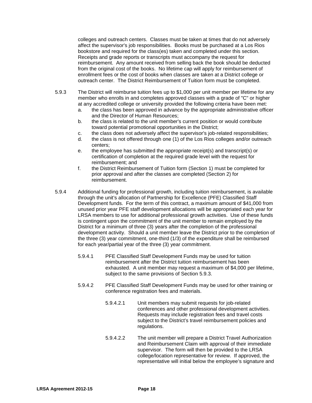colleges and outreach centers. Classes must be taken at times that do not adversely affect the supervisor's job responsibilities. Books must be purchased at a Los Rios bookstore and required for the class(es) taken and completed under this section. Receipts and grade reports or transcripts must accompany the request for reimbursement. Any amount received from selling back the book should be deducted from the original cost of the books. No lifetime cap will apply for reimbursement of enrollment fees or the cost of books when classes are taken at a District college or outreach center. The District Reimbursement of Tuition form must be completed.

- 5.9.3 The District will reimburse tuition fees up to \$1,000 per unit member per lifetime for any member who enrolls in and completes approved classes with a grade of "C" or higher at any accredited college or university provided the following criteria have been met:
	- a. the class has been approved in advance by the appropriate administrative officer and the Director of Human Resources;
	- b. the class is related to the unit member's current position or would contribute toward potential promotional opportunities in the District;
	- c. the class does not adversely affect the supervisor's job-related responsibilities;
	- d. the class is not offered through one (1) of the Los Rios colleges and/or outreach centers;
	- e. the employee has submitted the appropriate receipt(s) and transcript(s) or certification of completion at the required grade level with the request for reimbursement; and
	- f. the District Reimbursement of Tuition form (Section 1) must be completed for prior approval and after the classes are completed (Section 2) for reimbursement.
- 5.9.4 Additional funding for professional growth, including tuition reimbursement, is available through the unit's allocation of Partnership for Excellence (PFE) Classified Staff Development funds. For the term of this contract, a maximum amount of \$41,000 from unused prior year PFE staff development allocations will be appropriated each year for LRSA members to use for additional professional growth activities. Use of these funds is contingent upon the commitment of the unit member to remain employed by the District for a minimum of three (3) years after the completion of the professional development activity. Should a unit member leave the District prior to the completion of the three (3) year commitment, one-third (1/3) of the expenditure shall be reimbursed for each year/partial year of the three (3) year commitment.
	- 5.9.4.1 PFE Classified Staff Development Funds may be used for tuition reimbursement after the District tuition reimbursement has been exhausted. A unit member may request a maximum of \$4,000 per lifetime, subject to the same provisions of Section 5.9.3.
	- 5.9.4.2 PFE Classified Staff Development Funds may be used for other training or conference registration fees and materials.
		- 5.9.4.2.1 Unit members may submit requests for job-related conferences and other professional development activities. Requests may include registration fees and travel costs subject to the District's travel reimbursement policies and regulations.
		- 5.9.4.2.2 The unit member will prepare a District Travel Authorization and Reimbursement Claim with approval of their immediate supervisor. The form will then be provided to the LRSA college/location representative for review. If approved, the representative will initial below the employee's signature and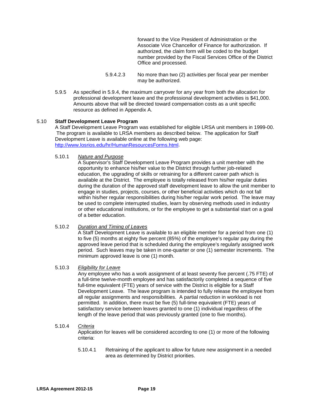forward to the Vice President of Administration or the Associate Vice Chancellor of Finance for authorization. If authorized, the claim form will be coded to the budget number provided by the Fiscal Services Office of the District Office and processed.

- 5.9.4.2.3 No more than two (2) activities per fiscal year per member may be authorized.
- 5.9.5 As specified in 5.9.4, the maximum carryover for any year from both the allocation for professional development leave and the professional development activities is \$41,000. Amounts above that will be directed toward compensation costs as a unit specific resource as defined in Appendix A.

#### 5.10 **Staff Development Leave Program**

A Staff Development Leave Program was established for eligible LRSA unit members in 1999-00. The program is available to LRSA members as described below. The application for Staff Development Leave is available online at the following web page: [http://www.losrios.edu/hr/HumanResourcesForms.html.](http://www.losrios.edu/hr/HumanResourcesForms.html)

#### 5.10.1 *Nature and Purpose*

A Supervisor's Staff Development Leave Program provides a unit member with the opportunity to enhance his/her value to the District through further job-related education, the upgrading of skills or retraining for a different career path which is available at the District. The employee is totally released from his/her regular duties during the duration of the approved staff development leave to allow the unit member to engage in studies, projects, courses, or other beneficial activities which do not fall within his/her regular responsibilities during his/her regular work period. The leave may be used to complete interrupted studies, learn by observing methods used in industry or other educational institutions, or for the employee to get a substantial start on a goal of a better education.

#### 5.10.2 *Duration and Timing of Leaves*

A Staff Development Leave is available to an eligible member for a period from one (1) to five (5) months at eighty five percent (85%) of the employee's regular pay during the approved leave period that is scheduled during the employee's regularly assigned work period. Such leaves may be taken in one-quarter or one (1) semester increments. The minimum approved leave is one (1) month.

#### 5.10.3 *Eligibility for Leave*

Any employee who has a work assignment of at least seventy five percent (.75 FTE) of a full-time twelve-month employee and has satisfactorily completed a sequence of five full-time equivalent (FTE) years of service with the District is eligible for a Staff Development Leave. The leave program is intended to fully release the employee from all regular assignments and responsibilities. A partial reduction in workload is not permitted. In addition, there must be five (5) full-time equivalent (FTE) years of satisfactory service between leaves granted to one (1) individual regardless of the length of the leave period that was previously granted (one to five months).

#### 5.10.4 *Criteria*

Application for leaves will be considered according to one (1) or more of the following criteria:

5.10.4.1 Retraining of the applicant to allow for future new assignment in a needed area as determined by District priorities.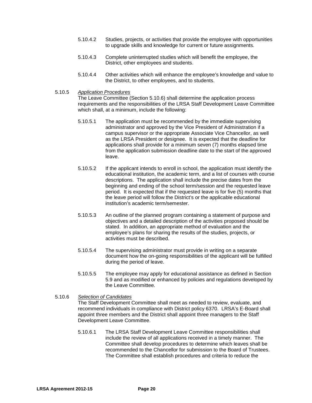- 5.10.4.2 Studies, projects, or activities that provide the employee with opportunities to upgrade skills and knowledge for current or future assignments.
- 5.10.4.3 Complete uninterrupted studies which will benefit the employee, the District, other employees and students.
- 5.10.4.4 Other activities which will enhance the employee's knowledge and value to the District, to other employees, and to students.
- 5.10.5 *Application Procedures*

The Leave Committee (Section 5.10.6) shall determine the application process requirements and the responsibilities of the LRSA Staff Development Leave Committee which shall, at a minimum, include the following:

- 5.10.5.1 The application must be recommended by the immediate supervising administrator and approved by the Vice President of Administration if a campus supervisor or the appropriate Associate Vice Chancellor, as well as the LRSA President or designee. It is expected that the deadline for applications shall provide for a minimum seven (7) months elapsed time from the application submission deadline date to the start of the approved leave.
- 5.10.5.2 If the applicant intends to enroll in school, the application must identify the educational institution, the academic term, and a list of courses with course descriptions. The application shall include the precise dates from the beginning and ending of the school term/session and the requested leave period. It is expected that if the requested leave is for five (5) months that the leave period will follow the District's or the applicable educational institution's academic term/semester.
- 5.10.5.3 An outline of the planned program containing a statement of purpose and objectives and a detailed description of the activities proposed should be stated. In addition, an appropriate method of evaluation and the employee's plans for sharing the results of the studies, projects, or activities must be described.
- 5.10.5.4 The supervising administrator must provide in writing on a separate document how the on-going responsibilities of the applicant will be fulfilled during the period of leave.
- 5.10.5.5 The employee may apply for educational assistance as defined in Section 5.9 and as modified or enhanced by policies and regulations developed by the Leave Committee.

#### 5.10.6 *Selection of Candidates*

The Staff Development Committee shall meet as needed to review, evaluate, and recommend individuals in compliance with District policy 6370. LRSA's E-Board shall appoint three members and the District shall appoint three managers to the Staff Development Leave Committee.

5.10.6.1 The LRSA Staff Development Leave Committee responsibilities shall include the review of all applications received in a timely manner. The Committee shall develop procedures to determine which leaves shall be recommended to the Chancellor for submission to the Board of Trustees. The Committee shall establish procedures and criteria to reduce the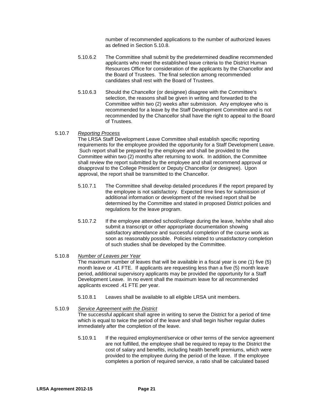number of recommended applications to the number of authorized leaves as defined in Section 5.10.8.

- 5.10.6.2 The Committee shall submit by the predetermined deadline recommended applicants who meet the established leave criteria to the District Human Resources Office for consideration of the applicants by the Chancellor and the Board of Trustees. The final selection among recommended candidates shall rest with the Board of Trustees.
- 5.10.6.3 Should the Chancellor (or designee) disagree with the Committee's selection, the reasons shall be given in writing and forwarded to the Committee within two (2) weeks after submission. Any employee who is recommended for a leave by the Staff Development Committee and is not recommended by the Chancellor shall have the right to appeal to the Board of Trustees.

#### 5.10.7 *Reporting Process*

The LRSA Staff Development Leave Committee shall establish specific reporting requirements for the employee provided the opportunity for a Staff Development Leave. Such report shall be prepared by the employee and shall be provided to the Committee within two (2) months after returning to work. In addition, the Committee shall review the report submitted by the employee and shall recommend approval or disapproval to the College President or Deputy Chancellor (or designee). Upon approval, the report shall be transmitted to the Chancellor.

- 5.10.7.1 The Committee shall develop detailed procedures if the report prepared by the employee is not satisfactory. Expected time lines for submission of additional information or development of the revised report shall be determined by the Committee and stated in proposed District policies and regulations for the leave program.
- 5.10.7.2 If the employee attended school/college during the leave, he/she shall also submit a transcript or other appropriate documentation showing satisfactory attendance and successful completion of the course work as soon as reasonably possible. Policies related to unsatisfactory completion of such studies shall be developed by the Committee.

#### 5.10.8 *Number of Leaves per Year*

The maximum number of leaves that will be available in a fiscal year is one (1) five (5) month leave or .41 FTE. If applicants are requesting less than a five (5) month leave period, additional supervisory applicants may be provided the opportunity for a Staff Development Leave. In no event shall the maximum leave for all recommended applicants exceed .41 FTE per year.

5.10.8.1 Leaves shall be available to all eligible LRSA unit members.

#### 5.10.9 *Service Agreement with the District*

The successful applicant shall agree in writing to serve the District for a period of time which is equal to twice the period of the leave and shall begin his/her regular duties immediately after the completion of the leave.

5.10.9.1 If the required employment/service or other terms of the service agreement are not fulfilled, the employee shall be required to repay to the District the cost of salary and benefits, including health benefit premiums, which were provided to the employee during the period of the leave. If the employee completes a portion of required service, a ratio shall be calculated based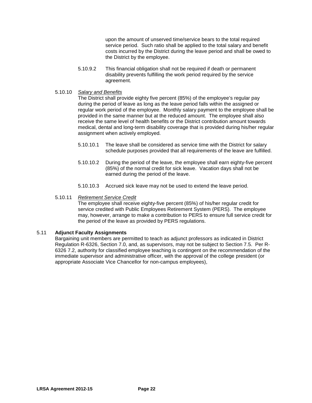upon the amount of unserved time/service bears to the total required service period. Such ratio shall be applied to the total salary and benefit costs incurred by the District during the leave period and shall be owed to the District by the employee.

- 5.10.9.2 This financial obligation shall not be required if death or permanent disability prevents fulfilling the work period required by the service agreement.
- 5.10.10 *Salary and Benefits*

The District shall provide eighty five percent (85%) of the employee's regular pay during the period of leave as long as the leave period falls within the assigned or regular work period of the employee. Monthly salary payment to the employee shall be provided in the same manner but at the reduced amount. The employee shall also receive the same level of health benefits or the District contribution amount towards medical, dental and long-term disability coverage that is provided during his/her regular assignment when actively employed.

- 5.10.10.1 The leave shall be considered as service time with the District for salary schedule purposes provided that all requirements of the leave are fulfilled.
- 5.10.10.2 During the period of the leave, the employee shall earn eighty-five percent (85%) of the normal credit for sick leave. Vacation days shall not be earned during the period of the leave.
- 5.10.10.3 Accrued sick leave may not be used to extend the leave period.

#### 5.10.11 *Retirement Service Credit*

The employee shall receive eighty-five percent (85%) of his/her regular credit for service credited with Public Employees Retirement System (PERS). The employee may, however, arrange to make a contribution to PERS to ensure full service credit for the period of the leave as provided by PERS regulations.

#### 5.11 **Adjunct Faculty Assignments**

Bargaining unit members are permitted to teach as adjunct professors as indicated in District Regulation R-6326, Section 7.0, and, as supervisors, may not be subject to Section 7.5. Per R-6326 7.2, authority for classified employee teaching is contingent on the recommendation of the immediate supervisor and administrative officer, with the approval of the college president (or appropriate Associate Vice Chancellor for non-campus employees),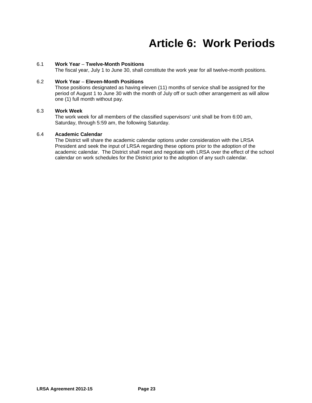### **Article 6: Work Periods**

#### 6.1 **Work Year** *–* **Twelve-Month Positions**

The fiscal year, July 1 to June 30, shall constitute the work year for all twelve-month positions.

#### 6.2 **Work Year** *–* **Eleven-Month Positions**

Those positions designated as having eleven (11) months of service shall be assigned for the period of August 1 to June 30 with the month of July off or such other arrangement as will allow one (1) full month without pay.

#### 6.3 **Work Week**

The work week for all members of the classified supervisors' unit shall be from 6:00 am, Saturday, through 5:59 am, the following Saturday.

#### 6.4 **Academic Calendar**

The District will share the academic calendar options under consideration with the LRSA President and seek the input of LRSA regarding these options prior to the adoption of the academic calendar. The District shall meet and negotiate with LRSA over the effect of the school calendar on work schedules for the District prior to the adoption of any such calendar.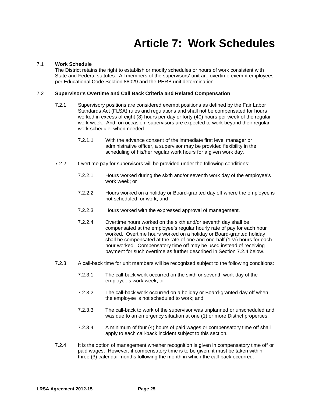### **Article 7: Work Schedules**

#### 7.1 **Work Schedule**

The District retains the right to establish or modify schedules or hours of work consistent with State and Federal statutes. All members of the supervisors' unit are overtime exempt employees per Educational Code Section 88029 and the PERB unit determination.

#### 7.2 **Supervisor's Overtime and Call Back Criteria and Related Compensation**

- 7.2.1 Supervisory positions are considered exempt positions as defined by the Fair Labor Standards Act (FLSA) rules and regulations and shall not be compensated for hours worked in excess of eight (8) hours per day or forty (40) hours per week of the regular work week. And, on occasion, supervisors are expected to work beyond their regular work schedule, when needed.
	- 7.2.1.1 With the advance consent of the immediate first level manager or administrative officer, a supervisor may be provided flexibility in the scheduling of his/her regular work hours for a given work day.
- 7.2.2 Overtime pay for supervisors will be provided under the following conditions:
	- 7.2.2.1 Hours worked during the sixth and/or seventh work day of the employee's work week; or
	- 7.2.2.2 Hours worked on a holiday or Board-granted day off where the employee is not scheduled for work; and
	- 7.2.2.3 Hours worked with the expressed approval of management.
	- 7.2.2.4 Overtime hours worked on the sixth and/or seventh day shall be compensated at the employee's regular hourly rate of pay for each hour worked. Overtime hours worked on a holiday or Board-granted holiday shall be compensated at the rate of one and one-half  $(1 \frac{1}{2})$  hours for each hour worked. Compensatory time off may be used instead of receiving payment for such overtime as further described in Section 7.2.4 below.
- 7.2.3 A call-back time for unit members will be recognized subject to the following conditions:
	- 7.2.3.1 The call-back work occurred on the sixth or seventh work day of the employee's work week; or
	- 7.2.3.2 The call-back work occurred on a holiday or Board-granted day off when the employee is not scheduled to work; and
	- 7.2.3.3 The call-back to work of the supervisor was unplanned or unscheduled and was due to an emergency situation at one (1) or more District properties.
	- 7.2.3.4 A minimum of four (4) hour*s* of paid wages or compensatory time off shall apply to each call-back incident subject to this section.
- 7.2.4 It is the option of management whether recognition is given in compensatory time off or paid wages. However, if compensatory time is to be given, it must be taken within three (3) calendar months following the month in which the call-back occurred.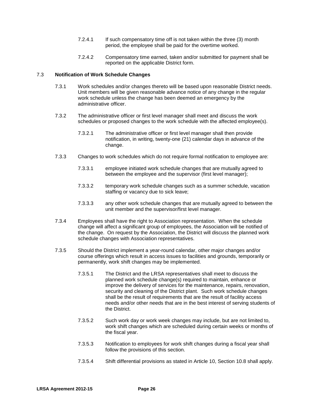- 7.2.4.1 If such compensatory time off is not taken within the three (3) month period, the employee shall be paid for the overtime worked.
- 7.2.4.2 Compensatory time earned, taken and/or submitted for payment shall be reported on the applicable District form.

#### 7.3 **Notification of Work Schedule Changes**

- 7.3.1 Work schedules and/or changes thereto will be based upon reasonable District needs. Unit members will be given reasonable advance notice of any change in the regular work schedule unless the change has been deemed an emergency by the administrative officer.
- 7.3.2 The administrative officer or first level manager shall meet and discuss the work schedules or proposed changes to the work schedule with the affected employee(s).
	- 7.3.2.1 The administrative officer or first level manager shall then provide notification, in writing, twenty-one (21) calendar days in advance of the change.
- 7.3.3 Changes to work schedules which do not require formal notification to employee are:
	- 7.3.3.1 employee initiated work schedule changes that are mutually agreed to between the employee and the supervisor (first level manager);
	- 7.3.3.2 temporary work schedule changes such as a summer schedule, vacation staffing or vacancy due to sick leave;
	- 7.3.3.3 any other work schedule changes that are mutually agreed to between the unit member and the supervisor/first level manager.
- 7.3.4 Employees shall have the right to Association representation. When the schedule change will affect a significant group of employees, the Association will be notified of the change. On request by the Association, the District will discuss the planned work schedule changes with Association representatives.
- 7.3.5 Should the District implement a year-round calendar, other major changes and/or course offerings which result in access issues to facilities and grounds, temporarily or permanently, work shift changes may be implemented.
	- 7.3.5.1 The District and the LRSA representatives shall meet to discuss the planned work schedule change(s) required to maintain, enhance or improve the delivery of services for the maintenance, repairs, renovation, security and cleaning of the District plant. Such work schedule changes shall be the result of requirements that are the result of facility access needs and/or other needs that are in the best interest of serving students of the District.
	- 7.3.5.2 Such work day or work week changes may include, but are not limited to, work shift changes which are scheduled during certain weeks or months of the fiscal year.
	- 7.3.5.3 Notification to employees for work shift changes during a fiscal year shall follow the provisions of this section.
	- 7.3.5.4 Shift differential provisions as stated in Article 10, Section 10.8 shall apply.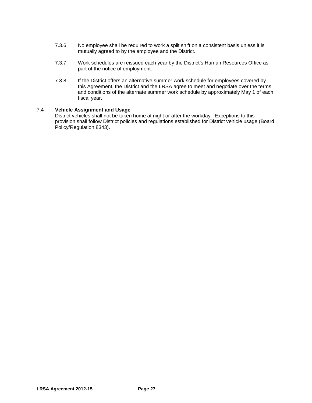- 7.3.6 No employee shall be required to work a split shift on a consistent basis unless it is mutually agreed to by the employee and the District.
- 7.3.7 Work schedules are reissued each year by the District's Human Resources Office as part of the notice of employment.
- 7.3.8 If the District offers an alternative summer work schedule for employees covered by this Agreement, the District and the LRSA agree to meet and negotiate over the terms and conditions of the alternate summer work schedule by approximately May 1 of each fiscal year.

#### 7.4 **Vehicle Assignment and Usage**

District vehicles shall not be taken home at night or after the workday. Exceptions to this provision shall follow District policies and regulations established for District vehicle usage (Board Policy/Regulation 8343).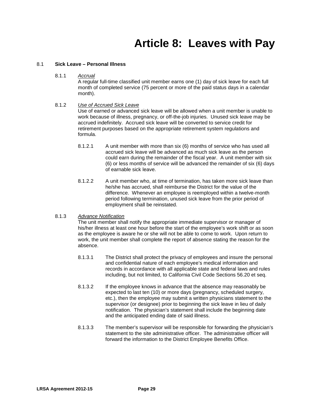### **Article 8: Leaves with Pay**

#### 8.1 **Sick Leave – Personal Illness**

8.1.1 *Accrual*

A regular full-time classified unit member earns one (1) day of sick leave for each full month of completed service (75 percent or more of the paid status days in a calendar month).

#### 8.1.2 *Use of Accrued Sick Leave*

Use of earned or advanced sick leave will be allowed when a unit member is unable to work because of illness, pregnancy, or off-the-job injuries. Unused sick leave may be accrued indefinitely. Accrued sick leave will be converted to service credit for retirement purposes based on the appropriate retirement system regulations and formula.

- 8.1.2.1 A unit member with more than six (6) months of service who has used all accrued sick leave will be advanced as much sick leave as the person could earn during the remainder of the fiscal year. A unit member with six (6) or less months of service will be advanced the remainder of six (6) days of earnable sick leave.
- 8.1.2.2 A unit member who, at time of termination, has taken more sick leave than he/she has accrued, shall reimburse the District for the value of the difference. Whenever an employee is reemployed within a twelve-month period following termination, unused sick leave from the prior period of employment shall be reinstated.

#### 8.1.3 *Advance Notification*

The unit member shall notify the appropriate immediate supervisor or manager of his/her illness at least one hour before the start of the employee's work shift or as soon as the employee is aware he or she will not be able to come to work. Upon return to work, the unit member shall complete the report of absence stating the reason for the absence.

- 8.1.3.1 The District shall protect the privacy of employees and insure the personal and confidential nature of each employee's medical information and records in accordance with all applicable state and federal laws and rules including, but not limited, to California Civil Code Sections 56.20 et seq.
- 8.1.3.2 If the employee knows in advance that the absence may reasonably be expected to last ten (10) or more days (pregnancy, scheduled surgery, etc.), then the employee may submit a written physicians statement to the supervisor (or designee) prior to beginning the sick leave in lieu of daily notification. The physician's statement shall include the beginning date and the anticipated ending date of said illness.
- 8.1.3.3 The member's supervisor will be responsible for forwarding the physician's statement to the site administrative officer. The administrative officer will forward the information to the District Employee Benefits Office.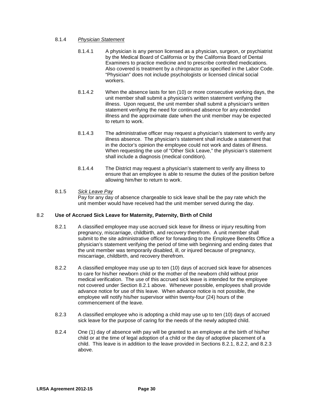#### 8.1.4 *Physician Statement*

- 8.1.4.1 A physician is any person licensed as a physician, surgeon, or psychiatrist by the Medical Board of California or by the California Board of Dental Examiners to practice medicine and to prescribe controlled medications. Also covered is treatment by a chiropractor as specified in the Labor Code. "Physician" does not include psychologists or licensed clinical social workers.
- 8.1.4.2 When the absence lasts for ten (10) or more consecutive working days, the unit member shall submit a physician's written statement verifying the illness. Upon request, the unit member shall submit a physician's written statement verifying the need for continued absence for any extended illness and the approximate date when the unit member may be expected to return to work.
- 8.1.4.3 The administrative officer may request a physician's statement to verify any illness absence. The physician's statement shall include a statement that in the doctor's opinion the employee could not work and dates of illness. When requesting the use of "Other Sick Leave," the physician's statement shall include a diagnosis (medical condition).
- 8.1.4.4 The District may request a physician's statement to verify any illness to ensure that an employee is able to resume the duties of the position before allowing him/her to return to work.

#### 8.1.5 *Sick Leave Pay*

Pay for any day of absence chargeable to sick leave shall be the pay rate which the unit member would have received had the unit member served during the day.

#### 8.2 **Use of Accrued Sick Leave for Maternity, Paternity, Birth of Child**

- 8.2.1 A classified employee may use accrued sick leave for illness or injury resulting from pregnancy, miscarriage, childbirth, and recovery therefrom. A unit member shall submit to the site administrative officer for forwarding to the Employee Benefits Office a physician's statement verifying the period of time with beginning and ending dates that the unit member was temporarily disabled, ill, or injured because of pregnancy, miscarriage, childbirth, and recovery therefrom.
- 8.2.2 A classified employee may use up to ten (10) days of accrued sick leave for absences to care for his/her newborn child or the mother of the newborn child without prior medical verification. The use of this accrued sick leave is intended for the employee not covered under Section 8.2.1 above. Whenever possible, employees shall provide advance notice for use of this leave. When advance notice is not possible, the employee will notify his/her supervisor within twenty-four (24) hours of the commencement of the leave.
- 8.2.3 A classified employee who is adopting a child may use up to ten (10) days of accrued sick leave for the purpose of caring for the needs of the newly adopted child.
- 8.2.4 One (1) day of absence with pay will be granted to an employee at the birth of his/her child or at the time of legal adoption of a child or the day of adoptive placement of a child. This leave is in addition to the leave provided in Sections 8.2.1, 8.2.2, and 8.2.3 above.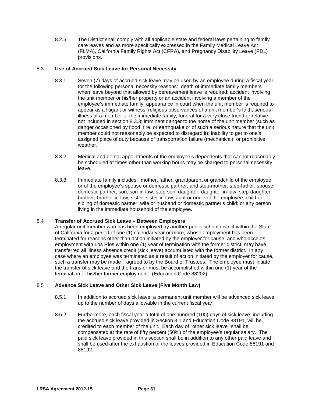8.2.5 The District shall comply with all applicable state and federal laws pertaining to family care leaves and as more specifically expressed in the Family Medical Leave Act (FLMA), California Family Rights Act (CFRA), and Pregnancy Disability Leave (PDL) provisions.

#### 8.3 **Use of Accrued Sick Leave for Personal Necessity**

- 8.3.1 Seven (7) days of accrued sick leave may be used by an employee during a fiscal year for the following personal necessity reasons: death of immediate family members when leave beyond that allowed by bereavement leave is required; accident involving the unit member or his/her property or an accident involving a member of the employee's immediate family; appearance in court when the unit member is required to appear as a litigant or witness; religious observances of a unit member's faith; serious illness of a member of the immediate family; funeral for a very close friend or relative not included in section 8.3.3; imminent danger to the home of the unit member (such as danger occasioned by flood, fire, or earthquake or of such a serious nature that the unit member could not reasonably be expected to disregard it); inability to get to one's assigned place of duty because of transportation failure (mechanical); or prohibitive weather.
- 8.3.2 Medical and dental appointments of the employee's dependents that cannot reasonably be scheduled at times other than working hours may be charged to personal necessity leave.
- 8.3.3 Immediate family includes: mother, father, grandparent or grandchild of the employee or of the employee's spouse or domestic partner; and step-mother, step-father, spouse, domestic partner, son, son-in-law, step-son, daughter, daughter-in-law, step-daughter, brother, brother-in-law, sister, sister-in-law, aunt or uncle of the employee; child or sibling of domestic partner; wife or husband or domestic partner's child; or any person living in the immediate household of the employee.

#### 8.4 **Transfer of Accrued Sick Leave – Between Employers**

A regular unit member who has been employed by another public school district within the State of California for a period of one (1) calendar year or more, whose employment has been terminated for reasons other than action initiated by the employer for cause, and who accepts employment with Los Rios within one (1) year of termination with the former district, may have transferred all illness absence credit (sick leave) accumulated with the former district. In any case where an employee was terminated as a result of action initiated by the employer for cause, such a transfer may be made if agreed to by the Board of Trustees. The employee must initiate the transfer of sick leave and the transfer must be accomplished within one (1) year of the termination of his/her former employment. (Education Code 88202)

#### 8.5 **Advance Sick Leave and Other Sick Leave (Five Month Law)**

- 8.5.1 In addition to accrued sick leave, a permanent unit member will be advanced sick leave up to the number of days allowable in the current fiscal year.
- 8.5.2 Furthermore, each fiscal year a total of one hundred (100) days of sick leave, including the accrued sick leave provided in Section 8.1 and Education Code 88191, will be credited to each member of the unit. Each day of "other sick leave" shall be compensated at the rate of fifty percent (50%) of the employee's regular salary. The paid sick leave provided in this section shall be in addition to any other paid leave and shall be used after the exhaustion of the leaves provided in Education Code 88191 and 88192.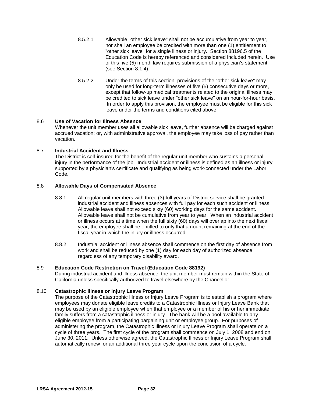- 8.5.2.1 Allowable "other sick leave" shall not be accumulative from year to year, nor shall an employee be credited with more than one (1) entitlement to "other sick leave" for a single illness or injury. Section 88196.5 of the Education Code is hereby referenced and considered included herein. Use of this five (5) month law requires submission of a physician's statement (see Section 8.1.4).
- 8.5.2.2 Under the terms of this section, provisions of the "other sick leave" may only be used for long-term illnesses of five (5) consecutive days or more, except that follow-up medical treatments related to the original illness may be credited to sick leave under "other sick leave" on an hour-for-hour basis. In order to apply this provision, the employee must be eligible for this sick leave under the terms and conditions cited above.

#### 8.6 **Use of Vacation for Illness Absence**

Whenever the unit member uses all allowable sick leave**,** further absence will be charged against accrued vacation; or, with administrative approval, the employee may take loss of pay rather than vacation.

#### 8.7 **Industrial Accident and Illness**

The District is self-insured for the benefit of the regular unit member who sustains a personal injury in the performance of the job. Industrial accident or illness is defined as an illness or injury supported by a physician's certificate and qualifying as being work-connected under the Labor Code.

#### 8.8 **Allowable Days of Compensated Absence**

- 8.8.1 All regular unit members with three (3) full years of District service shall be granted industrial accident and illness absences with full pay for each such accident or illness. Allowable leave shall not exceed sixty (60) working days for the same accident. Allowable leave shall not be cumulative from year to year. When an industrial accident or illness occurs at a time when the full sixty (60) days will overlap into the next fiscal year, the employee shall be entitled to only that amount remaining at the end of the fiscal year in which the injury or illness occurred.
- 8.8.2 Industrial accident or illness absence shall commence on the first day of absence from work and shall be reduced by one (1) day for each day of authorized absence regardless of any temporary disability award.

#### 8.9 **Education Code Restriction on Travel (Education Code 88192)**

During industrial accident and illness absence, the unit member must remain within the State of California unless specifically authorized to travel elsewhere by the Chancellor.

#### 8.10 **Catastrophic Illness or Injury Leave Program**

The purpose of the Catastrophic Illness or Injury Leave Program is to establish a program where employees may donate eligible leave credits to a Catastrophic Illness or Injury Leave Bank that may be used by an eligible employee when that employee or a member of his or her immediate family suffers from a catastrophic illness or injury. The bank will be a pool available to any eligible employee from a participating bargaining unit or employee group. For purposes of administering the program, the Catastrophic Illness or Injury Leave Program shall operate on a cycle of three years. The first cycle of the program shall commence on July 1, 2008 and end on June 30, 2011. Unless otherwise agreed, the Catastrophic Illness or Injury Leave Program shall automatically renew for an additional three year cycle upon the conclusion of a cycle.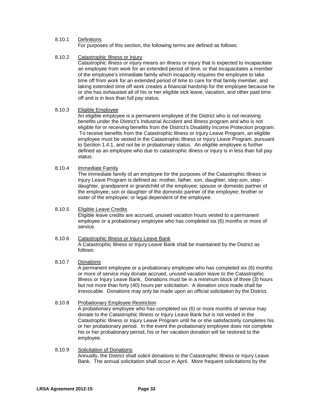## 8.10.1 Definitions

For purposes of this section, the following terms are defined as follows:

## 8.10.2 Catastrophic Illness or Injury

Catastrophic illness or injury means an illness or injury that is expected to incapacitate an employee from work for an extended period of time, or that incapacitates a member of the employee's immediate family which incapacity requires the employee to take time off from work for an extended period of time to care for that family member, and taking extended time off work creates a financial hardship for the employee because he or she has exhausted all of his or her eligible sick leave, vacation, and other paid time off and is in less than full pay status.

### 8.10.3 Eligible Employee

An eligible employee is a permanent employee of the District who is not receiving benefits under the District's Industrial Accident and Illness program and who is not eligible for or receiving benefits from the District's Disability Income Protection program. To receive benefits from the Catastrophic Illness or Injury Leave Program, an eligible employee must be vested in the Catastrophic Illness or Injury Leave Program, pursuant to Section 1.4.1, and not be in probationary status. An eligible employee is further defined as an employee who due to catastrophic illness or injury is in less than full pay status.

### 8.10.4 Immediate Family

The immediate family of an employee for the purposes of the Catastrophic Illness or Injury Leave Program is defined as: mother, father, son, daughter, step-son, stepdaughter, grandparent or grandchild of the employee; spouse or domestic partner of the employee; son or daughter of the domestic partner of the employee; brother or sister of the employee; or legal dependent of the employee.

### 8.10.5 Eligible Leave Credits

Eligible leave credits are accrued, unused vacation hours vested to a permanent employee or a probationary employee who has completed six (6) months or more of service.

#### 8.10.6 Catastrophic Illness or Injury Leave Bank A Catastrophic Illness or Injury Leave Bank shall be maintained by the District as follows:

#### 8.10.7 Donations

A permanent employee or a probationary employee who has completed six (6) months or more of service may donate accrued, unused vacation leave to the Catastrophic Illness or Injury Leave Bank. Donations must be in a minimum block of three (3) hours but not more than forty (40) hours per solicitation. A donation once made shall be irrevocable. Donations may only be made upon an official solicitation by the District.

### 8.10.8 Probationary Employee Restriction

A probationary employee who has completed six (6) or more months of service may donate to the Catastrophic Illness or Injury Leave Bank but is not vested in the Catastrophic Illness or Injury Leave Program until he or she satisfactorily completes his or her probationary period. In the event the probationary employee does not complete his or her probationary period, his or her vacation donation will be restored to the employee.

#### 8.10.9 Solicitation of Donations Annually, the District shall solicit donations to the Catastrophic Illness or Injury Leave Bank. The annual solicitation shall occur in April. More frequent solicitations by the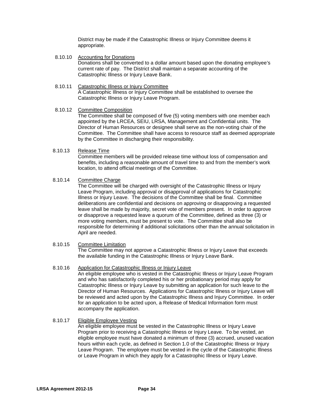District may be made if the Catastrophic Illness or Injury Committee deems it appropriate.

- 8.10.10 Accounting for Donations Donations shall be converted to a dollar amount based upon the donating employee's current rate of pay. The District shall maintain a separate accounting of the Catastrophic Illness or Injury Leave Bank.
- 8.10.11 Catastrophic Illness or Injury Committee A Catastrophic Illness or Injury Committee shall be established to oversee the Catastrophic Illness or Injury Leave Program.

### 8.10.12 Committee Composition

The Committee shall be composed of five (5) voting members with one member each appointed by the LRCEA, SEIU, LRSA, Management and Confidential units. The Director of Human Resources or designee shall serve as the non-voting chair of the Committee. The Committee shall have access to resource staff as deemed appropriate by the Committee in discharging their responsibility.

### 8.10.13 Release Time

Committee members will be provided release time without loss of compensation and benefits, including a reasonable amount of travel time to and from the member's work location, to attend official meetings of the Committee.

# 8.10.14 Committee Charge

The Committee will be charged with oversight of the Catastrophic Illness or Injury Leave Program, including approval or disapproval of applications for Catastrophic Illness or Injury Leave. The decisions of the Committee shall be final. Committee deliberations are confidential and decisions on approving or disapproving a requested leave shall be made by majority, secret vote of members present. In order to approve or disapprove a requested leave a quorum of the Committee, defined as three (3) or more voting members, must be present to vote. The Committee shall also be responsible for determining if additional solicitations other than the annual solicitation in April are needed.

### 8.10.15 Committee Limitation

The Committee may not approve a Catastrophic Illness or Injury Leave that exceeds the available funding in the Catastrophic Illness or Injury Leave Bank.

### 8.10.16 Application for Catastrophic Illness or Injury Leave

An eligible employee who is vested in the Catastrophic Illness or Injury Leave Program and who has satisfactorily completed his or her probationary period may apply for Catastrophic Illness or Injury Leave by submitting an application for such leave to the Director of Human Resources. Applications for Catastrophic Illness or Injury Leave will be reviewed and acted upon by the Catastrophic Illness and Injury Committee. In order for an application to be acted upon, a Release of Medical Information form must accompany the application.

# 8.10.17 Eligible Employee Vesting

An eligible employee must be vested in the Catastrophic Illness or Injury Leave Program prior to receiving a Catastrophic Illness or Injury Leave. To be vested, an eligible employee must have donated a minimum of three (3) accrued, unused vacation hours within each cycle, as defined in Section 1.0 of the Catastrophic Illness or Injury Leave Program. The employee must be vested in the cycle of the Catastrophic Illness or Leave Program in which they apply for a Catastrophic Illness or Injury Leave.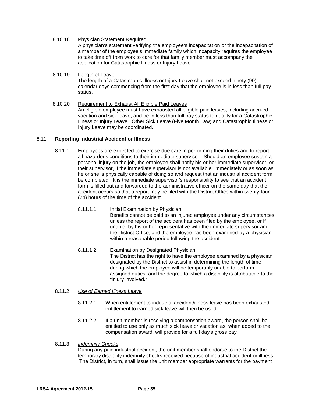- 8.10.18 Physician Statement Required A physician's statement verifying the employee's incapacitation or the incapacitation of a member of the employee's immediate family which incapacity requires the employee to take time off from work to care for that family member must accompany the application for Catastrophic Illness or Injury Leave.
- 8.10.19 Length of Leave The length of a Catastrophic Illness or Injury Leave shall not exceed ninety (90) calendar days commencing from the first day that the employee is in less than full pay status.
- 8.10.20 Requirement to Exhaust All Eligible Paid Leaves An eligible employee must have exhausted all eligible paid leaves, including accrued vacation and sick leave, and be in less than full pay status to qualify for a Catastrophic Illness or Injury Leave. Other Sick Leave (Five Month Law) and Catastrophic Illness or Injury Leave may be coordinated.

### 8.11 **Reporting Industrial Accident or Illness**

- 8.11.1 Employees are expected to exercise due care in performing their duties and to report all hazardous conditions to their immediate supervisor. Should an employee sustain a personal injury on the job, the employee shall notify his or her immediate supervisor, or their supervisor, if the immediate supervisor is not available, immediately or as soon as he or she is physically capable of doing so and request that an industrial accident form be completed. It is the immediate supervisor's responsibility to see that an accident form is filled out and forwarded to the administrative officer on the same day that the accident occurs so that a report may be filed with the District Office within twenty-four (24) hours of the time of the accident.
	- 8.11.1.1 Initial Examination by Physician Benefits cannot be paid to an injured employee under any circumstances unless the report of the accident has been filed by the employee, or if unable, by his or her representative with the immediate supervisor and the District Office, and the employee has been examined by a physician within a reasonable period following the accident.
	- 8.11.1.2 Examination by Designated Physician The District has the right to have the employee examined by a physician designated by the District to assist in determining the length of time during which the employee will be temporarily unable to perform assigned duties, and the degree to which a disability is attributable to the "injury involved."

### 8.11.2 *Use of Earned Illness Leave*

- 8.11.2.1 When entitlement to industrial accident/illness leave has been exhausted, entitlement to earned sick leave will then be used.
- 8.11.2.2 If a unit member is receiving a compensation award, the person shall be entitled to use only as much sick leave or vacation as, when added to the compensation award, will provide for a full day's gross pay.
- 8.11.3 *Indemnity Checks*

During any paid industrial accident, the unit member shall endorse to the District the temporary disability indemnity checks received because of industrial accident or illness. The District, in turn, shall issue the unit member appropriate warrants for the payment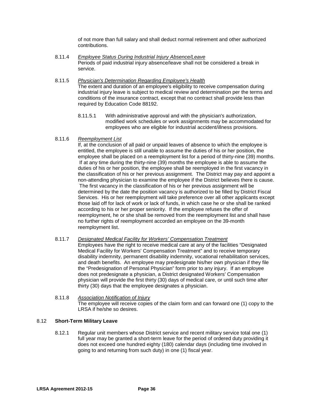of not more than full salary and shall deduct normal retirement and other authorized contributions.

- 8.11.4 *Employee Status During Industrial Injury Absence/Leave* Periods of paid industrial injury absence/leave shall not be considered a break in service.
- 8.11.5 *Physician's Determination Regarding Employee's Health* The extent and duration of an employee's eligibility to receive compensation during industrial injury leave is subject to medical review and determination per the terms and conditions of the insurance contract, except that no contract shall provide less than required by Education Code 88192.
	- 8.11.5.1 With administrative approval and with the physician's authorization, modified work schedules or work assignments may be accommodated for employees who are eligible for industrial accident/illness provisions.

# 8.11.6 *Reemployment List*

If, at the conclusion of all paid or unpaid leaves of absence to which the employee is entitled, the employee is still unable to assume the duties of his or her position, the employee shall be placed on a reemployment list for a period of thirty-nine (39) months. If at any time during the thirty-nine (39) months the employee is able to assume the duties of his or her position, the employee shall be reemployed in the first vacancy in the classification of his or her previous assignment. The District may pay and appoint a non-attending physician to examine the employee if the District believes there is cause. The first vacancy in the classification of his or her previous assignment will be determined by the date the position vacancy is authorized to be filled by District Fiscal Services. His or her reemployment will take preference over all other applicants except those laid off for lack of work or lack of funds, in which case he or she shall be ranked according to his or her proper seniority. If the employee refuses the offer of reemployment, he or she shall be removed from the reemployment list and shall have no further rights of reemployment accorded an employee on the 39-month reemployment list.

### 8.11.7 *Designated Medical Facility for Workers' Compensation Treatment*

Employees have the right to receive medical care at any of the facilities "Designated Medical Facility for Workers' Compensation Treatment" and to receive temporary disability indemnity, permanent disability indemnity, vocational rehabilitation services, and death benefits. An employee may predesignate his/her own physician if they file the "Predesignation of Personal Physician" form prior to any injury. If an employee does not predesignate a physician, a District designated Workers' Compensation physician will provide the first thirty (30) days of medical care, or until such time after thirty (30) days that the employee designates a physician.

# 8.11.8 *Association Notification of Injury* The employee will receive copies of the claim form and can forward one (1) copy to the LRSA if he/she so desires.

### 8.12 **Short-Term Military Leave**

8.12.1 Regular unit members whose District service and recent military service total one (1) full year may be granted a short-term leave for the period of ordered duty providing it does not exceed one hundred eighty (180) calendar days (including time involved in going to and returning from such duty) in one (1) fiscal year.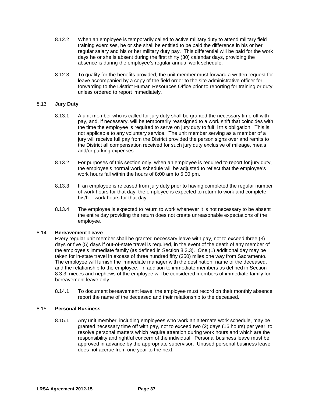- 8.12.2 When an employee is temporarily called to active military duty to attend military field training exercises, he or she shall be entitled to be paid the difference in his or her regular salary and his or her military duty pay. This differential will be paid for the work days he or she is absent during the first thirty (30) calendar days, providing the absence is during the employee's regular annual work schedule.
- 8.12.3 To qualify for the benefits provided, the unit member must forward a written request for leave accompanied by a copy of the field order to the site administrative officer for forwarding to the District Human Resources Office prior to reporting for training or duty unless ordered to report immediately.

# 8.13 **Jury Duty**

- 8.13.1 A unit member who is called for jury duty shall be granted the necessary time off with pay, and, if necessary, will be temporarily reassigned to a work shift that coincides with the time the employee is required to serve on jury duty to fulfill this obligation. This is not applicable to any voluntary service. The unit member serving as a member of a jury will receive full pay from the District provided the person signs over and remits to the District all compensation received for such jury duty exclusive of mileage, meals and/or parking expenses.
- 8.13.2 For purposes of this section only, when an employee is required to report for jury duty, the employee's normal work schedule will be adjusted to reflect that the employee's work hours fall within the hours of 8:00 am to 5:00 pm.
- 8.13.3 If an employee is released from jury duty prior to having completed the regular number of work hours for that day, the employee is expected to return to work and complete his/her work hours for that day.
- 8.13.4 The employee is expected to return to work whenever it is not necessary to be absent the entire day providing the return does not create unreasonable expectations of the employee.

### 8.14 **Bereavement Leave**

Every regular unit member shall be granted necessary leave with pay, not to exceed three (3) days or five (5) days if out-of-state travel is required, in the event of the death of any member of the employee's immediate family (as defined in Section 8.3.3). One (1) additional day may be taken for in-state travel in excess of three hundred fifty (350) miles one way from Sacramento. The employee will furnish the immediate manager with the destination, name of the deceased, and the relationship to the employee. In addition to immediate members as defined in Section 8.3.3, nieces and nephews of the employee will be considered members of immediate family for bereavement leave only.

8.14.1 To document bereavement leave, the employee must record on their monthly absence report the name of the deceased and their relationship to the deceased.

### 8.15 **Personal Business**

8.15.1 Any unit member, including employees who work an alternate work schedule, may be granted necessary time off with pay, not to exceed two (2) days (16 hours) per year, to resolve personal matters which require attention during work hours and which are the responsibility and rightful concern of the individual. Personal business leave must be approved in advance by the appropriate supervisor. Unused personal business leave does not accrue from one year to the next.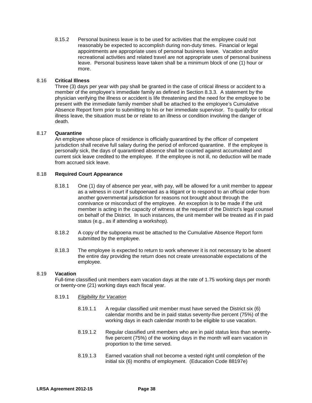8.15.2 Personal business leave is to be used for activities that the employee could not reasonably be expected to accomplish during non-duty times. Financial or legal appointments are appropriate uses of personal business leave. Vacation and/or recreational activities and related travel are not appropriate uses of personal business leave. Personal business leave taken shall be a minimum block of one (1) hour or more.

## 8.16 **Critical Illness**

Three (3) days per year with pay shall be granted in the case of critical illness or accident to a member of the employee's immediate family as defined in Section 8.3.3. A statement by the physician verifying the illness or accident is life threatening and the need for the employee to be present with the immediate family member shall be attached to the employee's Cumulative Absence Report form prior to submitting to his or her immediate supervisor. To qualify for critical illness leave, the situation must be or relate to an illness or condition involving the danger of death.

# 8.17 **Quarantine**

An employee whose place of residence is officially quarantined by the officer of competent jurisdiction shall receive full salary during the period of enforced quarantine. If the employee is personally sick, the days of quarantined absence shall be counted against accumulated and current sick leave credited to the employee. If the employee is not ill, no deduction will be made from accrued sick leave.

# 8.18 **Required Court Appearance**

- 8.18.1 One (1) day of absence per year, with pay, will be allowed for a unit member to appear as a witness in court if subpoenaed as a litigant or to respond to an official order from another governmental jurisdiction for reasons not brought about through the connivance or misconduct of the employee. An exception is to be made if the unit member is acting in the capacity of witness at the request of the District's legal counsel on behalf of the District. In such instances, the unit member will be treated as if in paid status (e.g., as if attending a workshop).
- 8.18.2 A copy of the subpoena must be attached to the Cumulative Absence Report form submitted by the employee.
- 8.18.3 The employee is expected to return to work whenever it is not necessary to be absent the entire day providing the return does not create unreasonable expectations of the employee.

### 8.19 **Vacation**

Full-time classified unit members earn vacation days at the rate of 1.75 working days per month or twenty-one (21) working days each fiscal year.

### 8.19.1 *Eligibility for Vacation*

- 8.19*.*1.1 A regular classified unit member must have served the District six (6) calendar months and be in paid status seventy-five percent (75%) of the working days in each calendar month to be eligible to use vacation.
- 8.19.1.2 Regular classified unit members who are in paid status less than seventyfive percent (75%) of the working days in the month will earn vacation in proportion to the time served.
- 8.19.1.3 Earned vacation shall not become a vested right until completion of the initial six (6) months of employment. (Education Code 88197e)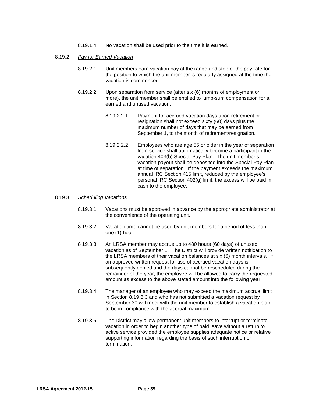8.19.1.4 No vacation shall be used prior to the time it is earned.

#### 8*.*19*.*2 *Pay for Earned Vacation*

- 8*.*19*.*2.1 Unit members earn vacation pay at the range and step of the pay rate for the position to which the unit member is regularly assigned at the time the vacation is commenced.
- 8.19.2.2 Upon separation from service (after six (6) months of employment or more), the unit member shall be entitled to lump-sum compensation for all earned and unused vacation.
	- 8.19.2.2.1 Payment for accrued vacation days upon retirement or resignation shall not exceed sixty (60) days plus the maximum number of days that may be earned from September 1, to the month of retirement/resignation.
	- 8.19.2.2.2 Employees who are age 55 or older in the year of separation from service shall automatically become a participant in the vacation 403(b) Special Pay Plan. The unit member's vacation payout shall be deposited into the Special Pay Plan at time of separation. If the payment exceeds the maximum annual IRC Section 415 limit, reduced by the employee's personal IRC Section 402(g) limit, the excess will be paid in cash to the employee.

#### 8.19.3 *Scheduling Vacations*

- 8.19.3.1 Vacations must be approved in advance by the appropriate administrator at the convenience of the operating unit.
- 8.19.3.2 Vacation time cannot be used by unit members for a period of less than one (1) hour.
- 8*.*19*.*3.3 An LRSA member may accrue up to 480 hours (60 days) of unused vacation as of September 1. The District will provide written notification to the LRSA members of their vacation balances at six (6) month intervals. If an approved written request for use of accrued vacation days is subsequently denied and the days cannot be rescheduled during the remainder of the year, the employee will be allowed to carry the requested amount as excess to the above stated amount into the following year.
- 8.19.3.4 The manager of an employee who may exceed the maximum accrual limit in Section 8.19.3.3 and who has not submitted a vacation request by September 30 will meet with the unit member to establish a vacation plan to be in compliance with the accrual maximum.
- 8.19.3.5 The District may allow permanent unit members to interrupt or terminate vacation in order to begin another type of paid leave without a return to active service provided the employee supplies adequate notice or relative supporting information regarding the basis of such interruption or termination.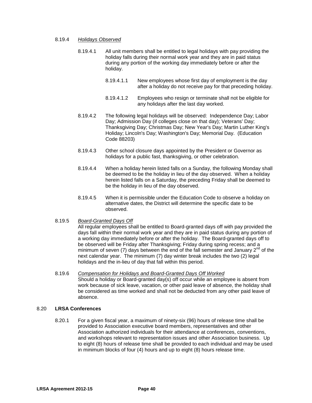#### 8.19.4 *Holidays Observed*

- 8.19*.*4.1 All unit members shall be entitled to legal holidays with pay providing the holiday falls during their normal work year and they are in paid status during any portion of the working day immediately before or after the holiday.
	- 8.19.4.1.1 New employees whose first day of employment is the day after a holiday do not receive pay for that preceding holiday.
	- 8.19.4.1.2 Employees who resign or terminate shall not be eligible for any holidays after the last day worked.
- 8.19.4.2 The following legal holidays will be observed: Independence Day; Labor Day; Admission Day (if colleges close on that day); Veterans' Day; Thanksgiving Day; Christmas Day; New Year's Day; Martin Luther King's Holiday; Lincoln's Day; Washington's Day; Memorial Day. (Education Code 88203)
- 8.19.4.3 Other school closure days appointed by the President or Governor as holidays for a public fast, thanksgiving, or other celebration.
- 8.19.4.4 When a holiday herein listed falls on a Sunday, the following Monday shall be deemed to be the holiday in lieu of the day observed. When a holiday herein listed falls on a Saturday, the preceding Friday shall be deemed to be the holiday in lieu of the day observed.
- 8.19.4.5 When it is permissible under the Education Code to observe a holiday on alternative dates, the District will determine the specific date to be observed.

### 8.19.5 *Board-Granted Days Off*

All regular employees shall be entitled to Board-granted days off with pay provided the days fall within their normal work year and they are in paid status during any portion of a working day immediately before or after the holiday. The Board-granted days off to be observed will be Friday after Thanksgiving; Friday during spring recess; and a minimum of seven (7) days between the end of the fall semester and January  $2^{nd}$  of the next calendar year. The minimum (7) day winter break includes the two (2) legal holidays and the in-lieu of day that fall within this period.

8.19.6 *Compensation for Holidays and Board-Granted Days Off Worked* Should a holiday or Board-granted day(s) off occur while an employee is absent from work because of sick leave, vacation, or other paid leave of absence, the holiday shall be considered as time worked and shall not be deducted from any other paid leave of absence.

#### 8.20 **LRSA Conferences**

8.20.1 For a given fiscal year, a maximum of ninety-six (96) hours of release time shall be provided to Association executive board members, representatives and other Association authorized individuals for their attendance at conferences, conventions, and workshops relevant to representation issues and other Association business. Up to eight (8) hours of release time shall be provided to each individual and may be used in minimum blocks of four (4) hours and up to eight (8) hours release time.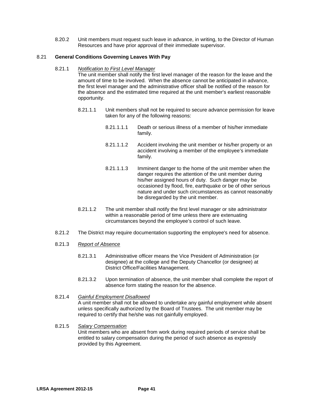8.20.2 Unit members must request such leave in advance, in writing, to the Director of Human Resources and have prior approval of their immediate supervisor.

## 8.21 **General Conditions Governing Leaves With Pay**

8.21.1 *Notification to First Level Manager*

The unit member shall notify the first level manager of the reason for the leave and the amount of time to be involved. When the absence cannot be anticipated in advance, the first level manager and the administrative officer shall be notified of the reason for the absence and the estimated time required at the unit member's earliest reasonable opportunity.

- 8.21.1.1 Unit members shall not be required to secure advance permission for leave taken for any of the following reasons:
	- 8.21.1.1.1 Death or serious illness of a member of his/her immediate family.
	- 8.21.1.1.2 Accident involving the unit member or his/her property or an accident involving a member of the employee's immediate family.
	- 8.21.1.1.3 Imminent danger to the home of the unit member when the danger requires the attention of the unit member during his/her assigned hours of duty. Such danger may be occasioned by flood, fire, earthquake or be of other serious nature and under such circumstances as cannot reasonably be disregarded by the unit member.
- 8.21.1.2 The unit member shall notify the first level manager or site administrator within a reasonable period of time unless there are extenuating circumstances beyond the employee's control of such leave.
- 8.21.2 The District may require documentation supporting the employee's need for absence.
- 8.21.3 *Report of Absence*
	- 8.21.3.1 Administrative officer means the Vice President of Administration (or designee) at the college and the Deputy Chancellor (or designee) at District Office/Facilities Management.
	- 8.21.3.2 Upon termination of absence, the unit member shall complete the report of absence form stating the reason for the absence.
- 8.21.4 *Gainful Employment Disallowed* A unit member shall not be allowed to undertake any gainful employment while absent unless specifically authorized by the Board of Trustees. The unit member may be required to certify that he/she was not gainfully employed.
- 8.21.5 *Salary Compensation* Unit members who are absent from work during required periods of service shall be entitled to salary compensation during the period of such absence as expressly provided by this Agreement.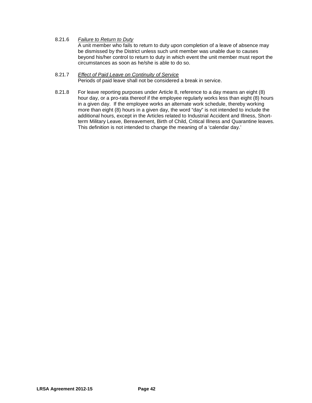8.21.6 *Failure to Return to Duty* A unit member who fails to return to duty upon completion of a leave of absence may be dismissed by the District unless such unit member was unable due to causes beyond his/her control to return to duty in which event the unit member must report the circumstances as soon as he/she is able to do so.

#### 8.21.7 *Effect of Paid Leave on Continuity of Service* Periods of paid leave shall not be considered a break in service.

8.21.8 For leave reporting purposes under Article 8, reference to a day means an eight (8) hour day, or a pro-rata thereof if the employee regularly works less than eight (8) hours in a given day. If the employee works an alternate work schedule, thereby working more than eight (8) hours in a given day, the word "day" is not intended to include the additional hours, except in the Articles related to Industrial Accident and Illness, Shortterm Military Leave, Bereavement, Birth of Child, Critical Illness and Quarantine leaves. This definition is not intended to change the meaning of a 'calendar day.'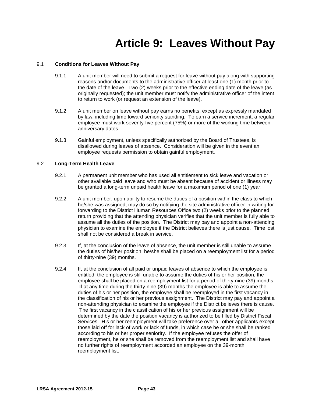# **Article 9: Leaves Without Pay**

## 9.1 **Conditions for Leaves Without Pay**

- 9.1.1 A unit member will need to submit a request for leave without pay along with supporting reasons and/or documents to the administrative officer at least one (1) month prior to the date of the leave. Two (2) weeks prior to the effective ending date of the leave (as originally requested); the unit member must notify the administrative officer of the intent to return to work (or request an extension of the leave).
- 9.1.2 A unit member on leave without pay earns no benefits, except as expressly mandated by law, including time toward seniority standing. To earn a service increment, a regular employee must work seventy-five percent (75%) or more of the working time between anniversary dates.
- 9.1.3 Gainful employment, unless specifically authorized by the Board of Trustees, is disallowed during leaves of absence. Consideration will be given in the event an employee requests permission to obtain gainful employment.

# 9.2 **Long-Term Health Leave**

- 9.2.1 A permanent unit member who has used all entitlement to sick leave and vacation or other available paid leave and who must be absent because of accident or illness may be granted a long-term unpaid health leave for a maximum period of one (1) year.
- 9.2.2 A unit member, upon ability to resume the duties of a position within the class to which he/she was assigned, may do so by notifying the site administrative officer in writing for forwarding to the District Human Resources Office two (2) weeks prior to the planned return providing that the attending physician verifies that the unit member is fully able to assume all the duties of the position. The District may pay and appoint a non-attending physician to examine the employee if the District believes there is just cause. Time lost shall not be considered a break in service.
- 9.2.3 If, at the conclusion of the leave of absence, the unit member is still unable to assume the duties of his/her position, he/she shall be placed on a reemployment list for a period of thirty-nine (39) months.
- 9.2.4 If, at the conclusion of all paid or unpaid leaves of absence to which the employee is entitled, the employee is still unable to assume the duties of his or her position, the employee shall be placed on a reemployment list for a period of thirty-nine (39) months. If at any time during the thirty-nine (39) months the employee is able to assume the duties of his or her position, the employee shall be reemployed in the first vacancy in the classification of his or her previous assignment. The District may pay and appoint a non-attending physician to examine the employee if the District believes there is cause. The first vacancy in the classification of his or her previous assignment will be determined by the date the position vacancy is authorized to be filled by District Fiscal Services. His or her reemployment will take preference over all other applicants except those laid off for lack of work or lack of funds, in which case he or she shall be ranked according to his or her proper seniority. If the employee refuses the offer of reemployment, he or she shall be removed from the reemployment list and shall have no further rights of reemployment accorded an employee on the 39-month reemployment list.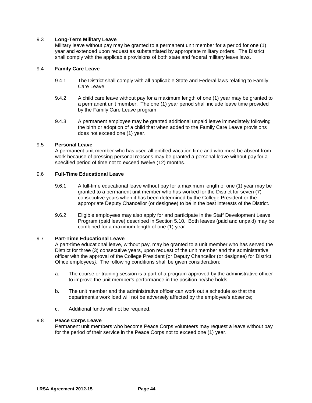## 9.3 **Long-Term Military Leave**

Military leave without pay may be granted to a permanent unit member for a period for one (1) year and extended upon request as substantiated by appropriate military orders. The District shall comply with the applicable provisions of both state and federal military leave laws.

## 9.4 **Family Care Leave**

- 9.4.1 The District shall comply with all applicable State and Federal laws relating to Family Care Leave.
- 9.4.2 A child care leave without pay for a maximum length of one (1) year may be granted to a permanent unit member. The one (1) year period shall include leave time provided by the Family Care Leave program.
- 9.4.3 A permanent employee may be granted additional unpaid leave immediately following the birth or adoption of a child that when added to the Family Care Leave provisions does not exceed one (1) year.

### 9.5 **Personal Leave**

A permanent unit member who has used all entitled vacation time and who must be absent from work because of pressing personal reasons may be granted a personal leave without pay for a specified period of time not to exceed twelve (12) months.

## 9.6 **Full-Time Educational Leave**

- 9.6.1 A full-time educational leave without pay for a maximum length of one (1) year may be granted to a permanent unit member who has worked for the District for seven (7) consecutive years when it has been determined by the College President or the appropriate Deputy Chancellor (or designee) to be in the best interests of the District.
- 9.6.2 Eligible employees may also apply for and participate in the Staff Development Leave Program (paid leave) described in Section 5.10. Both leaves (paid and unpaid) may be combined for a maximum length of one (1) year.

# 9.7 **Part-Time Educational Leave**

A part-time educational leave, without pay, may be granted to a unit member who has served the District for three (3) consecutive years, upon request of the unit member and the administrative officer with the approval of the College President {or Deputy Chancellor (or designee) for District Office employees}. The following conditions shall be given consideration:

- a. The course or training session is a part of a program approved by the administrative officer to improve the unit member's performance in the position he/she holds;
- b. The unit member and the administrative officer can work out a schedule so that the department's work load will not be adversely affected by the employee's absence;
- c. Additional funds will not be required.

## 9.8 **Peace Corps Leave**

Permanent unit members who become Peace Corps volunteers may request a leave without pay for the period of their service in the Peace Corps not to exceed one (1) year.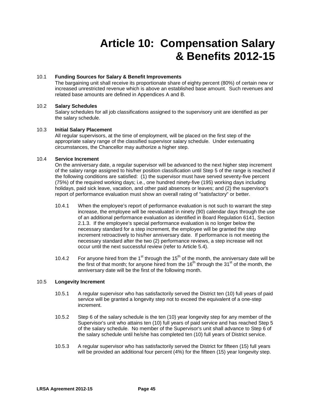# **Article 10: Compensation Salary & Benefits 2012-15**

# 10.1 **Funding Sources for Salary & Benefit Improvements**

The bargaining unit shall receive its proportionate share of eighty percent (80%) of certain new or increased unrestricted revenue which is above an established base amount. Such revenues and related base amounts are defined in Appendices A and B.

### 10.2 **Salary Schedules**

Salary schedules for all job classifications assigned to the supervisory unit are identified as per the salary schedule.

### 10.3 **Initial Salary Placement**

All regular supervisors, at the time of employment, will be placed on the first step of the appropriate salary range of the classified supervisor salary schedule. Under extenuating circumstances, the Chancellor may authorize a higher step.

# 10.4 **Service Increment**

On the anniversary date, a regular supervisor will be advanced to the next higher step increment of the salary range assigned to his/her position classification until Step 5 of the range is reached if the following conditions are satisfied: (1) the supervisor must have served seventy-five percent (75%) of the required working days; i.e., one hundred ninety-five (195) working days including holidays, paid sick leave, vacation, and other paid absences or leaves; and (2) the supervisor's report of performance evaluation must show an overall rating of "satisfactory" or better.

- 10.4.1 When the employee's report of performance evaluation is not such to warrant the step increase, the employee will be reevaluated in ninety (90) calendar days through the use of an additional performance evaluation as identified in Board Regulation 6141, Section 2.1.3. If the employee's special performance evaluation is no longer below the necessary standard for a step increment, the employee will be granted the step increment retroactively to his/her anniversary date. If performance is not meeting the necessary standard after the two (2) performance reviews, a step increase will not occur until the next successful review (refer to Article 5.4).
- 10.4.2 For anyone hired from the 1<sup>st</sup> through the 15<sup>th</sup> of the month, the anniversary date will be the first of that month; for anyone hired from the  $16<sup>th</sup>$  through the  $31<sup>st</sup>$  of the month, the anniversary date will be the first of the following month.

### 10.5 **Longevity Increment**

- 10.5.1 A regular supervisor who has satisfactorily served the District ten (10) full years of paid service will be granted a longevity step not to exceed the equivalent of a one-step increment.
- 10.5.2 Step 6 of the salary schedule is the ten (10) year longevity step for any member of the Supervisor's unit who attains ten (10) full years of paid service and has reached Step 5 of the salary schedule. No member of the Supervisor's unit shall advance to Step 6 of the salary schedule until he/she has completed ten (10) full years of District service.
- 10.5.3 A regular supervisor who has satisfactorily served the District for fifteen (15) full years will be provided an additional four percent (4%) for the fifteen (15) year longevity step.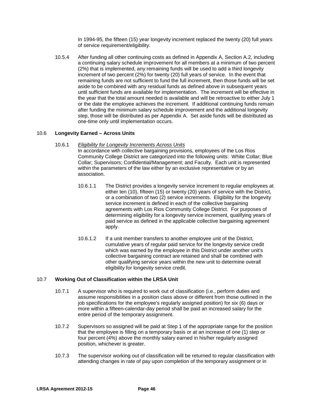In 1994-95, the fifteen (15) year longevity increment replaced the twenty (20) full years of service requirement/eligibility.

10.5.4 After funding all other continuing costs as defined in Appendix A, Section A.2, including a continuing salary schedule improvement for all members at a minimum of two percent (2%) that is implemented, any remaining funds will be used to add a third longevity increment of two percent (2%) for twenty (20) full years of service. In the event that remaining funds are not sufficient to fund the full increment, then those funds will be set aside to be combined with any residual funds as defined above in subsequent years until sufficient funds are available for implementation. The increment will be effective in the year that the total amount needed is available and will be retroactive to either July 1 or the date the employee achieves the increment. If additional continuing funds remain after funding the minimum salary schedule improvement and the additional longevity step, those will be distributed as per Appendix A. Set aside funds will be distributed as one-time only until implementation occurs.

### 10.6 **Longevity Earned – Across Units**

10.6.1 *Eligibility for Longevity Increments Across Units*

In accordance with collective bargaining provisions, employees of the Los Rios Community College District are categorized into the following units: White Collar; Blue Collar; Supervisors; Confidential/Management; and Faculty. Each unit is represented within the parameters of the law either by an exclusive representative or by an association.

- 10.6.1.1 The District provides a longevity service increment to regular employees at either ten (10), fifteen (15) or twenty (20) years of service with the District, or a combination of two (2) service increments. Eligibility for the longevity service increment is defined in each of the collective bargaining agreements with Los Rios Community College District. For purposes of determining eligibility for a longevity service increment, qualifying years of paid service as defined in the applicable collective bargaining agreement apply.
- 10.6.1.2 If a unit member transfers to another employee unit of the District, cumulative years of regular paid service for the longevity service credit which was earned by the employee in this District under another unit's collective bargaining contract are retained and shall be combined with other qualifying service years within the new unit to determine overall eligibility for longevity service credit.

### 10.7 **Working Out of Classification within the LRSA Unit**

- 10.7.1 A supervisor who is required to work out of classification (i.e., perform duties and assume responsibilities in a position class above or different from those outlined in the job specifications for the employee's regularly assigned position) for six (6) days or more within a fifteen-calendar-day period shall be paid an increased salary for the entire period of the temporary assignment.
- 10.7.2 Supervisors so assigned will be paid at Step 1 of the appropriate range for the position that the employee is filling on a temporary basis or at an increase of one (1) step or four percent (4%) above the monthly salary earned in his/her regularly assigned position, whichever is greater.
- 10.7.3 The supervisor working out of classification will be returned to regular classification with attending changes in rate of pay upon completion of the temporary assignment or in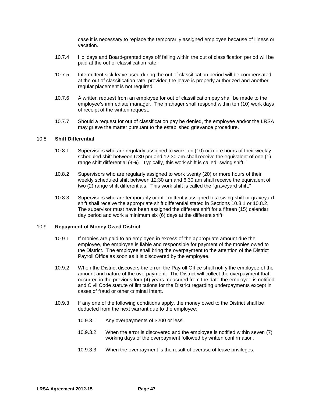case it is necessary to replace the temporarily assigned employee because of illness or vacation.

- 10.7.4 Holidays and Board-granted days off falling within the out of classification period will be paid at the out of classification rate.
- 10.7.5 Intermittent sick leave used during the out of classification period will be compensated at the out of classification rate, provided the leave is properly authorized and another regular placement is not required.
- 10.7.6 A written request from an employee for out of classification pay shall be made to the employee's immediate manager. The manager shall respond within ten (10) work days of receipt of the written request.
- 10.7.7 Should a request for out of classification pay be denied, the employee and/or the LRSA may grieve the matter pursuant to the established grievance procedure.

#### 10.8 **Shift Differential**

- 10.8.1 Supervisors who are regularly assigned to work ten (10) or more hours of their weekly scheduled shift between 6:30 pm and 12:30 am shall receive the equivalent of one (1) range shift differential (4%). Typically, this work shift is called "swing shift."
- 10.8.2 Supervisors who are regularly assigned to work twenty (20) or more hours of their weekly scheduled shift between 12:30 am and 6:30 am shall receive the equivalent of two (2) range shift differentials. This work shift is called the "graveyard shift."
- 10.8.3 Supervisors who are temporarily or intermittently assigned to a swing shift or graveyard shift shall receive the appropriate shift differential stated in Sections 10.8.1 or 10.8.2. The supervisor must have been assigned the different shift for a fifteen (15) calendar day period and work a minimum six (6) days at the different shift.

#### 10.9 **Repayment of Money Owed District**

- 10.9.1 If monies are paid to an employee in excess of the appropriate amount due the employee, the employee is liable and responsible for payment of the monies owed to the District. The employee shall bring the overpayment to the attention of the District Payroll Office as soon as it is discovered by the employee.
- 10.9.2 When the District discovers the error, the Payroll Office shall notify the employee of the amount and nature of the overpayment. The District will collect the overpayment that occurred in the previous four (4) years measured from the date the employee is notified and Civil Code statute of limitations for the District regarding underpayments except in cases of fraud or other criminal intent.
- 10.9.3 If any one of the following conditions apply, the money owed to the District shall be deducted from the next warrant due to the employee:
	- 10.9.3.1 Any overpayments of \$200 or less.
	- 10.9.3.2 When the error is discovered and the employee is notified within seven (7) working days of the overpayment followed by written confirmation.
	- 10.9.3.3 When the overpayment is the result of overuse of leave privileges.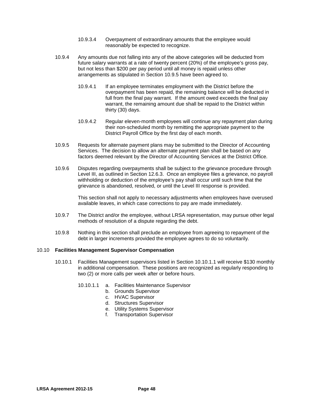- 10.9.3.4 Overpayment of extraordinary amounts that the employee would reasonably be expected to recognize.
- 10.9.4 Any amounts due not falling into any of the above categories will be deducted from future salary warrants at a rate of twenty percent (20%) of the employee's gross pay, but not less than \$200 per pay period until all money is repaid unless other arrangements as stipulated in Section 10.9.5 have been agreed to.
	- 10.9.4.1 If an employee terminates employment with the District before the overpayment has been repaid, the remaining balance will be deducted in full from the final pay warrant. If the amount owed exceeds the final pay warrant, the remaining amount due shall be repaid to the District within thirty (30) days.
	- 10.9.4.2 Regular eleven-month employees will continue any repayment plan during their non-scheduled month by remitting the appropriate payment to the District Payroll Office by the first day of each month.
- 10.9.5 Requests for alternate payment plans may be submitted to the Director of Accounting Services. The decision to allow an alternate payment plan shall be based on any factors deemed relevant by the Director of Accounting Services at the District Office.
- 10.9.6 Disputes regarding overpayments shall be subject to the grievance procedure through Level III, as outlined in Section 12.6.3. Once an employee files a grievance, no payroll withholding or deduction of the employee's pay shall occur until such time that the grievance is abandoned, resolved, or until the Level III response is provided.

This section shall not apply to necessary adjustments when employees have overused available leaves, in which case corrections to pay are made immediately.

- 10.9.7 The District and/or the employee, without LRSA representation, may pursue other legal methods of resolution of a dispute regarding the debt.
- 10.9.8 Nothing in this section shall preclude an employee from agreeing to repayment of the debt in larger increments provided the employee agrees to do so voluntarily.

### 10.10 **Facilities Management Supervisor Compensation**

- 10.10.1 Facilities Management supervisors listed in Section 10.10.1.1 will receive \$130 monthly in additional compensation. These positions are recognized as regularly responding to two (2) or more calls per week after or before hours.
	- 10.10.1.1 a. Facilities Maintenance Supervisor
		- b. Grounds Supervisor
		- c. HVAC Supervisor
		- d. Structures Supervisor
		- e. Utility Systems Supervisor
		- f. Transportation Supervisor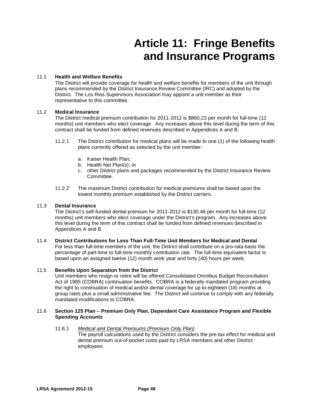# **Article 11: Fringe Benefits and Insurance Programs**

## 11.1 **Health and Welfare Benefits**

The District will provide coverage for health and welfare benefits for members of the unit through plans recommended by the District Insurance Review Committee (IRC) and adopted by the District. The Los Rios Supervisors Association may appoint a unit member as their representative to this committee.

# 11.2 **Medical Insurance**

The District medical premium contribution for 2011-2012 is \$860.23 per month for full-time (12 months) unit members who elect coverage. Any increases above this level during the term of this contract shall be funded from defined revenues described in Appendices A and B.

- 11.2.1 The District contribution for medical plans will be made to one (1) of the following health plans currently offered as selected by the unit member:
	- a. Kaiser Health Plan;
	- b. Health Net Plan(s); or
	- c. other District plans and packages recommended by the District Insurance Review Committee.
- 11.2.2 The maximum District contribution for medical premiums shall be based upon the lowest monthly premium established by the District carriers.

### 11.3 **Dental Insurance**

The District's self-funded dental premium for 2011-2012 is \$130.48 per month for full-time (12 months) unit members who elect coverage under the District's program. Any increases above this level during the term of this contract shall be funded from defined revenues described in Appendices A and B.

### 11.4 **District Contributions for Less Than Full-Time Unit Members for Medical and Dental**

For less than full-time members of the unit, the District shall contribute on a pro-rata basis the percentage of part-time to full-time monthly contribution rate. The full-time equivalent factor is based upon an assigned twelve (12) month work year and forty (40) hours per week.

### 11.5 **Benefits Upon Separation from the District**

Unit members who resign or retire will be offered Consolidated Omnibus Budget Reconciliation Act of 1985 (COBRA) continuation benefits. COBRA is a federally mandated program providing the right to continuation of medical and/or dental coverage for up to eighteen (18) months at group rates plus a small administrative fee. The District will continue to comply with any federally mandated modifications to COBRA.

### 11.6 **Section 125 Plan – Premium Only Plan, Dependent Care Assistance Program and Flexible Spending Accounts**

### 11.6.1 *Medical and Dental Premiums (Premium Only Plan)*

The payroll calculations used by the District considers the pre-tax effect for medical and dental premium out-of-pocket costs paid by LRSA members and other District employees.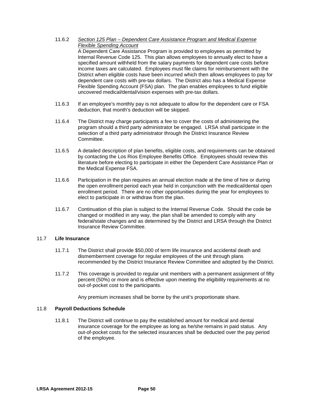11.6.2 *Section 125 Plan – Dependent Care Assistance Program and Medical Expense Flexible Spending Account*

A Dependent Care Assistance Program is provided to employees as permitted by Internal Revenue Code 125. This plan allows employees to annually elect to have a specified amount withheld from the salary payments for dependent care costs before income taxes are calculated. Employees must file claims for reimbursement with the District when eligible costs have been incurred which then allows employees to pay for dependent care costs with pre-tax dollars. The District also has a Medical Expense Flexible Spending Account (FSA) plan. The plan enables employees to fund eligible uncovered medical/dental/vision expenses with pre-tax dollars.

- 11.6.3 If an employee's monthly pay is not adequate to allow for the dependent care or FSA deduction, that month's deduction will be skipped.
- 11.6.4 The District may charge participants a fee to cover the costs of administering the program should a third party administrator be engaged. LRSA shall participate in the selection of a third party administrator through the District Insurance Review Committee.
- 11.6.5 A detailed description of plan benefits, eligible costs, and requirements can be obtained by contacting the Los Rios Employee Benefits Office. Employees should review this literature before electing to participate in either the Dependent Care Assistance Plan or the Medical Expense FSA.
- 11.6.6 Participation in the plan requires an annual election made at the time of hire or during the open enrollment period each year held in conjunction with the medical/dental open enrollment period. There are no other opportunities during the year for employees to elect to participate in or withdraw from the plan.
- 11.6.7 Continuation of this plan is subject to the Internal Revenue Code. Should the code be changed or modified in any way, the plan shall be amended to comply with any federal/state changes and as determined by the District and LRSA through the District Insurance Review Committee.

# 11.7 **Life Insurance**

- 11.7.1 The District shall provide \$50,000 of term life insurance and accidental death and dismemberment coverage for regular employees of the unit through plans recommended by the District Insurance Review Committee and adopted by the District.
- 11.7.2 This coverage is provided to regular unit members with a permanent assignment of fifty percent (50%) or more and is effective upon meeting the eligibility requirements at no out-of-pocket cost to the participants.

Any premium increases shall be borne by the unit's proportionate share.

### 11.8 **Payroll Deductions Schedule**

11.8.1 The District will continue to pay the established amount for medical and dental insurance coverage for the employee as long as he/she remains in paid status. Any out-of-pocket costs for the selected insurances shall be deducted over the pay period of the employee.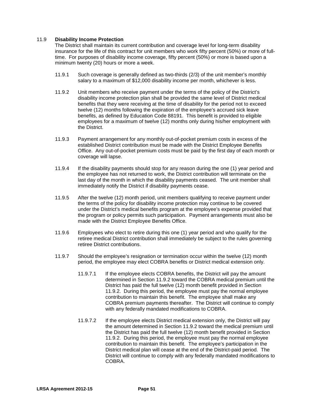## 11.9 **Disability Income Protection**

The District shall maintain its current contribution and coverage level for long-term disability insurance for the life of this contract for unit members who work fifty percent (50%) or more of fulltime. For purposes of disability income coverage, fifty percent (50%) or more is based upon a minimum twenty (20) hours or more a week.

- 11.9.1 Such coverage is generally defined as two-thirds (2/3) of the unit member's monthly salary to a maximum of \$12,000 disability income per month, whichever is less.
- 11.9.2 Unit members who receive payment under the terms of the policy of the District's disability income protection plan shall be provided the same level of District medical benefits that they were receiving at the time of disability for the period not to exceed twelve (12) months following the expiration of the employee's accrued sick leave benefits, as defined by Education Code 88191. This benefit is provided to eligible employees for a maximum of twelve (12) months only during his/her employment with the District.
- 11.9.3 Payment arrangement for any monthly out-of-pocket premium costs in excess of the established District contribution must be made with the District Employee Benefits Office. Any out-of-pocket premium costs must be paid by the first day of each month or coverage will lapse.
- 11.9.4 If the disability payments should stop for any reason during the one (1) year period and the employee has not returned to work, the District contribution will terminate on the last day of the month in which the disability payments ceased. The unit member shall immediately notify the District if disability payments cease.
- 11.9.5 After the twelve (12) month period, unit members qualifying to receive payment under the terms of the policy for disability income protection may continue to be covered under the District's medical benefits program at the employee's expense provided that the program or policy permits such participation. Payment arrangements must also be made with the District Employee Benefits Office.
- 11.9.6 Employees who elect to retire during this one (1) year period and who qualify for the retiree medical District contribution shall immediately be subject to the rules governing retiree District contributions.
- 11.9.7 Should the employee's resignation or termination occur within the twelve (12) month period, the employee may elect COBRA benefits or District medical extension only.
	- 11.9.7.1 If the employee elects COBRA benefits, the District will pay the amount determined in Section 11.9.2 toward the COBRA medical premium until the District has paid the full twelve (12) month benefit provided in Section 11.9.2. During this period, the employee must pay the normal employee contribution to maintain this benefit. The employee shall make any COBRA premium payments thereafter. The District will continue to comply with any federally mandated modifications to COBRA.
	- 11.9.7.2 If the employee elects District medical extension only, the District will pay the amount determined in Section 11.9.2 toward the medical premium until the District has paid the full twelve (12) month benefit provided in Section 11.9.2. During this period, the employee must pay the normal employee contribution to maintain this benefit. The employee's participation in the District medical plan will cease at the end of the District-paid period. The District will continue to comply with any federally mandated modifications to COBRA.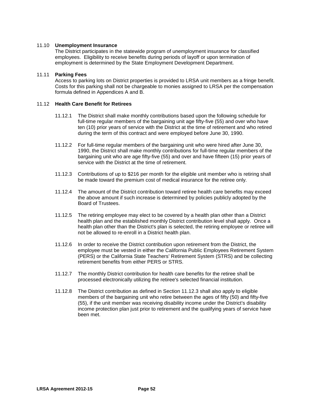### 11.10 **Unemployment Insurance**

The District participates in the statewide program of unemployment insurance for classified employees. Eligibility to receive benefits during periods of layoff or upon termination of employment is determined by the State Employment Development Department.

#### 11.11 **Parking Fees**

Access to parking lots on District properties is provided to LRSA unit members as a fringe benefit. Costs for this parking shall not be chargeable to monies assigned to LRSA per the compensation formula defined in Appendices A and B.

#### 11.12 **Health Care Benefit for Retirees**

- 11.12.1 The District shall make monthly contributions based upon the following schedule for full-time regular members of the bargaining unit age fifty-five (55) and over who have ten (10) prior years of service with the District at the time of retirement and who retired during the term of this contract and were employed before June 30, 1990.
- 11.12.2 For full-time regular members of the bargaining unit who were hired after June 30, 1990, the District shall make monthly contributions for full-time regular members of the bargaining unit who are age fifty-five (55) and over and have fifteen (15) prior years of service with the District at the time of retirement.
- 11.12.3 Contributions of up to \$216 per month for the eligible unit member who is retiring shall be made toward the premium cost of medical insurance for the retiree only.
- 11.12.4 The amount of the District contribution toward retiree health care benefits may exceed the above amount if such increase is determined by policies publicly adopted by the Board of Trustees.
- 11.12.5 The retiring employee may elect to be covered by a health plan other than a District health plan and the established monthly District contribution level shall apply. Once a health plan other than the District's plan is selected, the retiring employee or retiree will not be allowed to re-enroll in a District health plan.
- 11.12.6 In order to receive the District contribution upon retirement from the District, the employee must be vested in either the California Public Employees Retirement System (PERS) or the California State Teachers' Retirement System (STRS) and be collecting retirement benefits from either PERS or STRS.
- 11.12.7 The monthly District contribution for health care benefits for the retiree shall be processed electronically utilizing the retiree's selected financial institution.
- 11.12.8 The District contribution as defined in Section 11.12.3 shall also apply to eligible members of the bargaining unit who retire between the ages of fifty (50) and fifty-five (55), if the unit member was receiving disability income under the District's disability income protection plan just prior to retirement and the qualifying years of service have been met.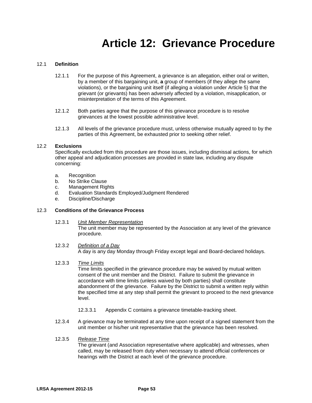# **Article 12: Grievance Procedure**

### 12.1 **Definition**

- 12.1.1 For the purpose of this Agreement, a grievance is an allegation, either oral or written, by a member of this bargaining unit, **a** group of members (if they allege the same violations), or the bargaining unit itself (if alleging a violation under Article 5) that the grievant (or grievants) has been adversely affected by a violation, misapplication, or misinterpretation of the terms of this Agreement.
- 12.1.2 Both parties agree that the purpose of this grievance procedure is to resolve grievances at the lowest possible administrative level.
- 12.1.3 All levels of the grievance procedure must, unless otherwise mutually agreed to by the parties of this Agreement, be exhausted prior to seeking other relief.

### 12.2 **Exclusions**

Specifically excluded from this procedure are those issues, including dismissal actions, for which other appeal and adjudication processes are provided in state law, including any dispute concerning:

- a. Recognition
- b. No Strike Clause
- c. Management Rights
- d. Evaluation Standards Employed/Judgment Rendered
- e. Discipline/Discharge

### 12.3 **Conditions of the Grievance Process**

- 12.3.1 *Unit Member Representation* The unit member may be represented by the Association at any level of the grievance procedure.
- 12.3.2 *Definition of a Day* A day is any day Monday through Friday except legal and Board-declared holidays.
- 12.3.3 *Time Limits*

Time limits specified in the grievance procedure may be waived by mutual written consent of the unit member and the District. Failure to submit the grievance in accordance with time limits (unless waived by both parties) shall constitute abandonment of the grievance. Failure by the District to submit a written reply within the specified time at any step shall permit the grievant to proceed to the next grievance level.

- 12.3.3.1 Appendix C contains a grievance timetable-tracking sheet.
- 12.3.4 A grievance may be terminated at any time upon receipt of a signed statement from the unit member or his/her unit representative that the grievance has been resolved.

### 12.3.5 *Release Time*

The grievant (and Association representative where applicable) and witnesses, when called, may be released from duty when necessary to attend official conferences or hearings with the District at each level of the grievance procedure.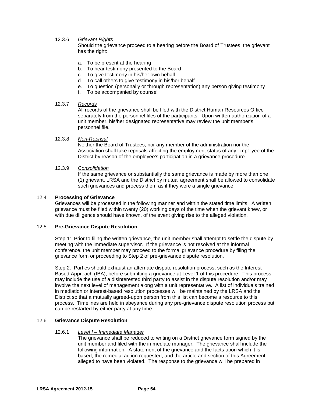# 12.3.6 *Grievant Rights*

Should the grievance proceed to a hearing before the Board of Trustees, the grievant has the right:

- a. To be present at the hearing
- b. To hear testimony presented to the Board
- c. To give testimony in his/her own behalf
- d. To call others to give testimony in his/her behalf
- e. To question (personally or through representation) any person giving testimony
- f. To be accompanied by counsel

#### 12.3.7 *Records*

All records of the grievance shall be filed with the District Human Resources Office separately from the personnel files of the participants. Upon written authorization of a unit member, his/her designated representative may review the unit member's personnel file.

#### 12.3.8 *Non-Reprisal*

Neither the Board of Trustees, nor any member of the administration nor the Association shall take reprisals affecting the employment status of any employee of the District by reason of the employee's participation in a grievance procedure.

#### 12.3.9 *Consolidation*

If the same grievance or substantially the same grievance is made by more than one (1) grievant, LRSA and the District by mutual agreement shall be allowed to consolidate such grievances and process them as if they were a single grievance.

#### 12.4 **Processing of Grievance**

Grievances will be processed in the following manner and within the stated time limits. A written grievance must be filed within twenty (20) working days of the time when the grievant knew, or with due diligence should have known, of the event giving rise to the alleged violation.

### 12.5 **Pre-Grievance Dispute Resolution**

Step 1:Prior to filing the written grievance, the unit member shall attempt to settle the dispute by meeting with the immediate supervisor. If the grievance is not resolved at the informal conference, the unit member may proceed to the formal grievance procedure by filing the grievance form or proceeding to Step 2 of pre-grievance dispute resolution.

Step 2: Parties should exhaust an alternate dispute resolution process, such as the Interest Based Approach (IBA), before submitting a grievance at Level 1 of this procedure. This process may include the use of a disinterested third party to assist in the dispute resolution and/or may involve the next level of management along with a unit representative. A list of individuals trained in mediation or interest-based resolution processes will be maintained by the LRSA and the District so that a mutually agreed-upon person from this list can become a resource to this process. Timelines are held in abeyance during any pre-grievance dispute resolution process but can be restarted by either party at any time.

## 12.6 **Grievance Dispute Resolution**

#### 12.6.1 *Level I – Immediate Manager*

The grievance shall be reduced to writing on a District grievance form signed by the unit member and filed with the immediate manager. The grievance shall include the following information: A statement of the grievance and the facts upon which it is based; the remedial action requested; and the article and section of this Agreement alleged to have been violated. The response to the grievance will be prepared in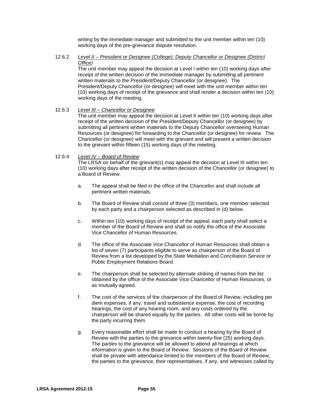writing by the immediate manager and submitted to the unit member within ten (10) working days of the pre-grievance dispute resolution.

12.6.2 *Level II – President or Designee (College); Deputy Chancellor or Designee (District Office)*

> The unit member may appeal the decision at Level I within ten (10) working days after receipt of the written decision of the immediate manager by submitting all pertinent written materials to the President/Deputy Chancellor (or designee). The President/Deputy Chancellor (or designee) will meet with the unit member within ten (10) working days of receipt of the grievance and shall render a decision within ten (10) working days of the meeting.

## 12.6.3 *Level III – Chancellor or Designee*

The unit member may appeal the decision at Level II within ten (10) working days after receipt of the written decision of the President/Deputy Chancellor (or designee) by submitting all pertinent written materials to the Deputy Chancellor overseeing Human Resources (or designee) for forwarding to the Chancellor (or designee) for review. The Chancellor (or designee) will meet with the grievant and will present a written decision to the grievant within fifteen (15) working days of the meeting.

#### 12.6.4 *Level IV – Board of Review*

The LRSA on behalf of the grievant(s) may appeal the decision at Level III within ten (10) working days after receipt of the written decision of the Chancellor (or designee) to a Board of Review.

- a. The appeal shall be filed in the office of the Chancellor and shall include all pertinent written materials.
- b. The Board of Review shall consist of three (3) members, one member selected by each party and a chairperson selected as described in (d) below.
- c. Within ten (10) working days of receipt of the appeal, each party shall select a member of the Board of Review and shall so notify the office of the Associate Vice Chancellor of Human Resources.
- d. The office of the Associate Vice Chancellor of Human Resources shall obtain a list of seven (7) participants eligible to serve as chairperson of the Board of Review from a list developed by the State Mediation and Conciliation Service or Public Employment Relations Board.
- e. The chairperson shall be selected by alternate striking of names from the list obtained by the office of the Associate Vice Chancellor of Human Resources, or as mutually agreed.
- f. The cost of the services of the chairperson of the Board of Review, including per diem expenses, if any, travel and subsistence expense, the cost of recording hearings, the cost of any hearing room, and any costs ordered by the chairperson will be shared equally by the parties. All other costs will be borne by the party incurring them.
- g. Every reasonable effort shall be made to conduct a hearing by the Board of Review with the parties to the grievance within twenty-five (25) working days. The parties to the grievance will be allowed to attend all hearings at which information is given to the Board of Review. Sessions of the Board of Review shall be private with attendance limited to the members of the Board of Review, the parties to the grievance, their representatives, if any, and witnesses called by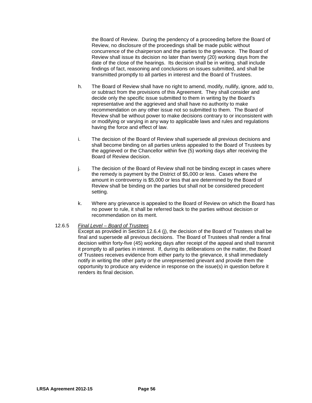the Board of Review. During the pendency of a proceeding before the Board of Review, no disclosure of the proceedings shall be made public without concurrence of the chairperson and the parties to the grievance. The Board of Review shall issue its decision no later than twenty (20) working days from the date of the close of the hearings. Its decision shall be in writing, shall include findings of fact, reasoning and conclusions on issues submitted, and shall be transmitted promptly to all parties in interest and the Board of Trustees.

- h. The Board of Review shall have no right to amend, modify, nullify, ignore, add to, or subtract from the provisions of this Agreement. They shall consider and decide only the specific issue submitted to them in writing by the Board's representative and the aggrieved and shall have no authority to make recommendation on any other issue not so submitted to them. The Board of Review shall be without power to make decisions contrary to or inconsistent with or modifying or varying in any way to applicable laws and rules and regulations having the force and effect of law.
- i. The decision of the Board of Review shall supersede all previous decisions and shall become binding on all parties unless appealed to the Board of Trustees by the aggrieved or the Chancellor within five (5) working days after receiving the Board of Review decision.
- j. The decision of the Board of Review shall not be binding except in cases where the remedy is payment by the District of \$5,000 or less. Cases where the amount in controversy is \$5,000 or less that are determined by the Board of Review shall be binding on the parties but shall not be considered precedent setting.
- k. Where any grievance is appealed to the Board of Review on which the Board has no power to rule, it shall be referred back to the parties without decision or recommendation on its merit.

### 12.6.5 *Final Level – Board of Trustees*

Except as provided in Section 12.6.4 (j), the decision of the Board of Trustees shall be final and supersede all previous decisions. The Board of Trustees shall render a final decision within forty-five (45) working days after receipt of the appeal and shall transmit it promptly to all parties in interest. If, during its deliberations on the matter, the Board of Trustees receives evidence from either party to the grievance, it shall immediately notify in writing the other party or the unrepresented grievant and provide them the opportunity to produce any evidence in response on the issue(s) in question before it renders its final decision.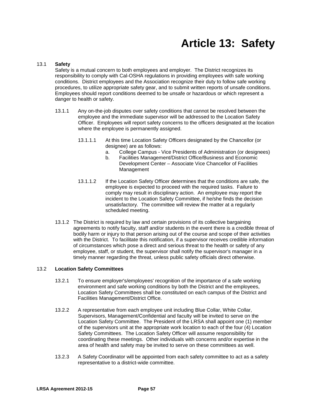# **Article 13: Safety**

#### 13.1 **Safety**

Safety is a mutual concern to both employees and employer. The District recognizes its responsibility to comply with Cal-OSHA regulations in providing employees with safe working conditions. District employees and the Association recognize their duty to follow safe working procedures, to utilize appropriate safety gear, and to submit written reports of unsafe conditions. Employees should report conditions deemed to be unsafe or hazardous or which represent a danger to health or safety.

- 13.1.1 Any on-the-job disputes over safety conditions that cannot be resolved between the employee and the immediate supervisor will be addressed to the Location Safety Officer. Employees will report safety concerns to the officers designated at the location where the employee is permanently assigned.
	- 13.1.1.1 At this time Location Safety Officers designated by the Chancellor (or designee) are as follows:
		- a. College Campus Vice Presidents of Administration (or designees)
		- b. Facilities Management/District Office/Business and Economic Development Center – Associate Vice Chancellor of Facilities Management
	- 13.1.1.2 If the Location Safety Officer determines that the conditions are safe, the employee is expected to proceed with the required tasks. Failure to comply may result in disciplinary action. An employee may report the incident to the Location Safety Committee, if he/she finds the decision unsatisfactory. The committee will review the matter at a regularly scheduled meeting.
- 13.1.2 The District is required by law and certain provisions of its collective bargaining agreements to notify faculty, staff and/or students in the event there is a credible threat of bodily harm or injury to that person arising out of the course and scope of their activities with the District. To facilitate this notification, if a supervisor receives credible information of circumstances which pose a direct and serious threat to the health or safety of any employee, staff, or student, the supervisor shall notify the supervisor's manager in a timely manner regarding the threat, unless public safety officials direct otherwise.

### 13.2 **Location Safety Committees**

- 13.2.1 To ensure employer's/employees' recognition of the importance of a safe working environment and safe working conditions by both the District and the employees, Location Safety Committees shall be constituted on each campus of the District and Facilities Management/District Office.
- 13.2.2 A representative from each employee unit including Blue Collar, White Collar, Supervisors, Management/Confidential and faculty will be invited to serve on the Location Safety Committee. The President of the LRSA shall appoint one (1) member of the supervisors unit at the appropriate work location to each of the four (4) Location Safety Committees. The Location Safety Officer will assume responsibility for coordinating these meetings. Other individuals with concerns and/or expertise in the area of health and safety may be invited to serve on these committees as well.
- 13.2.3 A Safety Coordinator will be appointed from each safety committee to act as a safety representative to a district-wide committee.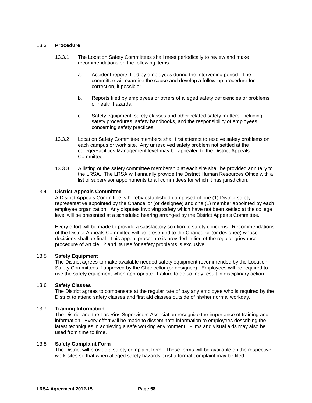#### 13.3 **Procedure**

- 13.3.1 The Location Safety Committees shall meet periodically to review and make recommendations on the following items:
	- a. Accident reports filed by employees during the intervening period. The committee will examine the cause and develop a follow-up procedure for correction, if possible;
	- b. Reports filed by employees or others of alleged safety deficiencies or problems or health hazards;
	- c. Safety equipment, safety classes and other related safety matters, including safety procedures, safety handbooks, and the responsibility of employees concerning safety practices.
- 13.3.2 Location Safety Committee members shall first attempt to resolve safety problems on each campus or work site. Any unresolved safety problem not settled at the college/Facilities Management level may be appealed to the District Appeals Committee.
- 13.3.3 A listing of the safety committee membership at each site shall be provided annually to the LRSA. The LRSA will annually provide the District Human Resources Office with a list of supervisor appointments to all committees for which it has jurisdiction.

#### 13.4 **District Appeals Committee**

A District Appeals Committee is hereby established composed of one (1) District safety representative appointed by the Chancellor (or designee) and one (1) member appointed by each employee organization. Any disputes involving safety which have not been settled at the college level will be presented at a scheduled hearing arranged by the District Appeals Committee.

Every effort will be made to provide a satisfactory solution to safety concerns. Recommendations of the District Appeals Committee will be presented to the Chancellor (or designee) whose decisions shall be final. This appeal procedure is provided in lieu of the regular grievance procedure of Article 12 and its use for safety problems is exclusive.

#### 13.5 **Safety Equipment**

The District agrees to make available needed safety equipment recommended by the Location Safety Committees if approved by the Chancellor (or designee). Employees will be required to use the safety equipment when appropriate. Failure to do so may result in disciplinary action.

#### 13.6 **Safety Classes**

The District agrees to compensate at the regular rate of pay any employee who is required by the District to attend safety classes and first aid classes outside of his/her normal workday.

#### 13.7 **Training Information**

The District and the Los Rios Supervisors Association recognize the importance of training and information. Every effort will be made to disseminate information to employees describing the latest techniques in achieving a safe working environment. Films and visual aids may also be used from time to time.

#### 13.8 **Safety Complaint Form**

The District will provide a safety complaint form. Those forms will be available on the respective work sites so that when alleged safety hazards exist a formal complaint may be filed.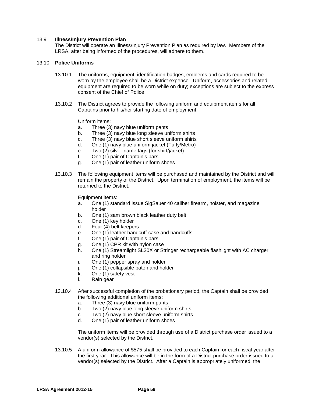#### 13.9 **Illness/Injury Prevention Plan**

The District will operate an Illness/Injury Prevention Plan as required by law. Members of the LRSA, after being informed of the procedures, will adhere to them.

#### 13.10 **Police Uniforms**

- 13.10.1 The uniforms, equipment, identification badges, emblems and cards required to be worn by the employee shall be a District expense. Uniform, accessories and related equipment are required to be worn while on duty; exceptions are subject to the express consent of the Chief of Police
- 13.10.2 The District agrees to provide the following uniform and equipment items for all Captains prior to his/her starting date of employment:

Uniform items:

- a. Three (3) navy blue uniform pants
- b. Three (3) navy blue long sleeve uniform shirts
- c. Three (3) navy blue short sleeve uniform shirts
- d. One (1) navy blue uniform jacket (Tuffy/Metro)
- e. Two (2) silver name tags (for shirt/jacket)
- f. One (1) pair of Captain's bars
- g. One (1) pair of leather uniform shoes
- 13.10.3 The following equipment items will be purchased and maintained by the District and will remain the property of the District. Upon termination of employment, the items will be returned to the District.

Equipment items:

- a. One (1) standard issue SigSauer 40 caliber firearm, holster, and magazine holder
- b. One (1) sam brown black leather duty belt
- c. One (1) key holder
- d. Four (4) belt keepers
- e. One (1) leather handcuff case and handcuffs
- f. One (1) pair of Captain's bars
- g. One (1) CPR kit with nylon case
- h. One (1) Streamlight SL20X or Stringer rechargeable flashlight with AC charger and ring holder
- i. One (1) pepper spray and holder
- j. One (1) collapsible baton and holder
- k. One (1) safety vest
- l. Rain gear
- 13.10.4 After successful completion of the probationary period, the Captain shall be provided the following additional uniform items:
	- a. Three (3) navy blue uniform pants
	- b. Two (2) navy blue long sleeve uniform shirts
	- c. Two (2) navy blue short sleeve uniform shirts
	- d. One (1) pair of leather uniform shoes

The uniform items will be provided through use of a District purchase order issued to a vendor(s) selected by the District.

13.10.5 A uniform allowance of \$575 shall be provided to each Captain for each fiscal year after the first year. This allowance will be in the form of a District purchase order issued to a vendor(s) selected by the District. After a Captain is appropriately uniformed, the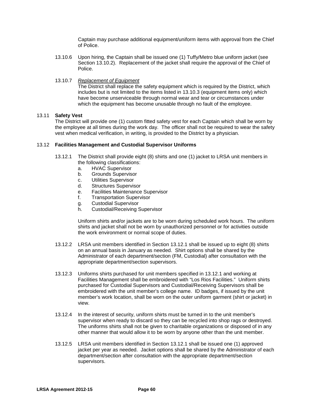Captain may purchase additional equipment/uniform items with approval from the Chief of Police.

- 13.10.6 Upon hiring, the Captain shall be issued one (1) Tuffy/Metro blue uniform jacket (see Section 13.10.2). Replacement of the jacket shall require the approval of the Chief of Police.
- 13.10.7 *Replacement of Equipment*

The District shall replace the safety equipment which is required by the District, which includes but is not limited to the items listed in 13.10.3 (equipment items only) which have become unserviceable through normal wear and tear or circumstances under which the equipment has become unusable through no fault of the employee.

# 13.11 **Safety Vest**

The District will provide one (1) custom fitted safety vest for each Captain which shall be worn by the employee at all times during the work day. The officer shall not be required to wear the safety vest when medical verification, in writing, is provided to the District by a physician.

# 13.12 **Facilities Management and Custodial Supervisor Uniforms**

- 13.12.1 The District shall provide eight (8) shirts and one (1) jacket to LRSA unit members in the following classifications:
	- a. HVAC Supervisor
	- b. Grounds Supervisor
	- c. Utilities Supervisor
	- d. Structures Supervisor
	- e. Facilities Maintenance Supervisor
	- f. Transportation Supervisor
	- g. Custodial Supervisor
	- h. Custodial/Receiving Supervisor

Uniform shirts and/or jackets are to be worn during scheduled work hours. The uniform shirts and jacket shall not be worn by unauthorized personnel or for activities outside the work environment or normal scope of duties.

- 13.12.2 LRSA unit members identified in Section 13.12.1 shall be issued up to eight (8) shirts on an annual basis in January as needed. Shirt options shall be shared by the Administrator of each department/section (FM, Custodial) after consultation with the appropriate department/section supervisors.
- 13.12.3 Uniforms shirts purchased for unit members specified in 13.12.1 and working at Facilities Management shall be embroidered with "Los Rios Facilities." Uniform shirts purchased for Custodial Supervisors and Custodial/Receiving Supervisors shall be embroidered with the unit member's college name. ID badges, if issued by the unit member's work location, shall be worn on the outer uniform garment (shirt or jacket) in view.
- 13.12.4 In the interest of security, uniform shirts must be turned in to the unit member's supervisor when ready to discard so they can be recycled into shop rags or destroyed. The uniforms shirts shall not be given to charitable organizations or disposed of in any other manner that would allow it to be worn by anyone other than the unit member.
- 13.12.5 LRSA unit members identified in Section 13.12.1 shall be issued one (1) approved jacket per year as needed. Jacket options shall be shared by the Administrator of each department/section after consultation with the appropriate department/section supervisors.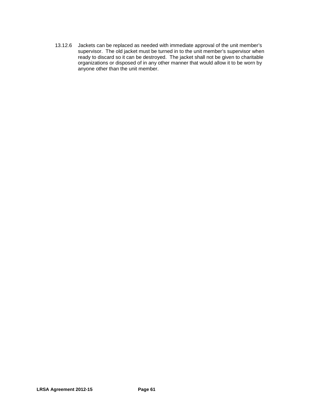13.12.6 Jackets can be replaced as needed with immediate approval of the unit member's supervisor. The old jacket must be turned in to the unit member's supervisor when ready to discard so it can be destroyed. The jacket shall not be given to charitable organizations or disposed of in any other manner that would allow it to be worn by anyone other than the unit member.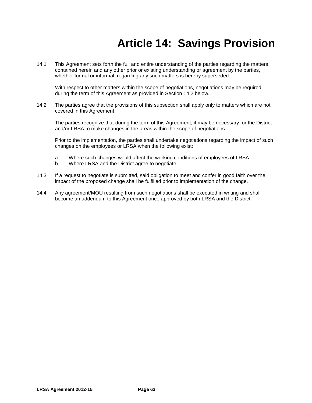# **Article 14: Savings Provision**

14.1 This Agreement sets forth the full and entire understanding of the parties regarding the matters contained herein and any other prior or existing understanding or agreement by the parties, whether formal or informal, regarding any such matters is hereby superseded.

With respect to other matters within the scope of negotiations, negotiations may be required during the term of this Agreement as provided in Section 14.2 below.

14.2 The parties agree that the provisions of this subsection shall apply only to matters which are not covered in this Agreement.

The parties recognize that during the term of this Agreement, it may be necessary for the District and/or LRSA to make changes in the areas within the scope of negotiations.

Prior to the implementation, the parties shall undertake negotiations regarding the impact of such changes on the employees or LRSA when the following exist:

- a. Where such changes would affect the working conditions of employees of LRSA.
- b. Where LRSA and the District agree to negotiate.
- 14.3 If a request to negotiate is submitted, said obligation to meet and confer in good faith over the impact of the proposed change shall be fulfilled prior to implementation of the change.
- 14.4 Any agreement/MOU resulting from such negotiations shall be executed in writing and shall become an addendum to this Agreement once approved by both LRSA and the District.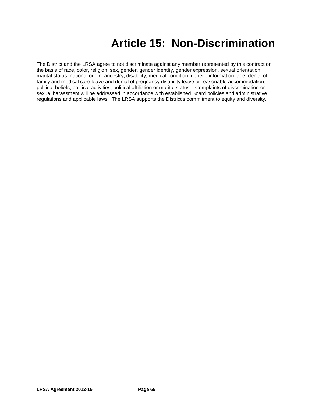# **Article 15: Non-Discrimination**

The District and the LRSA agree to not discriminate against any member represented by this contract on the basis of race, color, religion, sex, gender, gender identity, gender expression, sexual orientation, marital status, national origin, ancestry, disability, medical condition, genetic information, age, denial of family and medical care leave and denial of pregnancy disability leave or reasonable accommodation, political beliefs, political activities, political affiliation or marital status. Complaints of discrimination or sexual harassment will be addressed in accordance with established Board policies and administrative regulations and applicable laws. The LRSA supports the District's commitment to equity and diversity.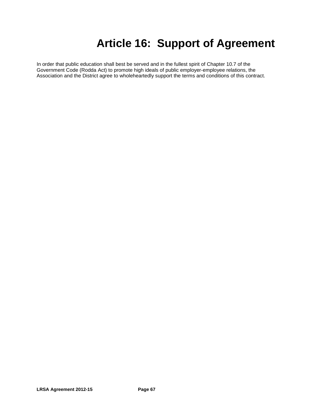# **Article 16: Support of Agreement**

In order that public education shall best be served and in the fullest spirit of Chapter 10.7 of the Government Code (Rodda Act) to promote high ideals of public employer-employee relations, the Association and the District agree to wholeheartedly support the terms and conditions of this contract.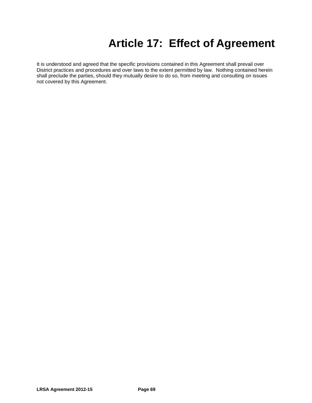# **Article 17: Effect of Agreement**

It is understood and agreed that the specific provisions contained in this Agreement shall prevail over District practices and procedures and over laws to the extent permitted by law. Nothing contained herein shall preclude the parties, should they mutually desire to do so, from meeting and consulting on issues not covered by this Agreement.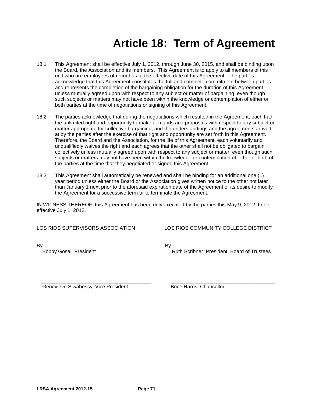# **Article 18: Term of Agreement**

- 18.1 This Agreement shall be effective July 1, 2012, through June 30, 2015, and shall be binding upon the Board, the Association and its members. This Agreement is to apply to all members of this unit who are employees of record as of the effective date of this Agreement. The parties acknowledge that this Agreement constitutes the full and complete commitment between parties and represents the completion of the bargaining obligation for the duration of this Agreement unless mutually agreed upon with respect to any subject or matter of bargaining, even though such subjects or matters may not have been within the knowledge or contemplation of either or both parties at the time of negotiations or signing of this Agreement.
- 18.2 The parties acknowledge that during the negotiations which resulted in the Agreement, each had the unlimited right and opportunity to make demands and proposals with respect to any subject or matter appropriate for collective bargaining, and the understandings and the agreements arrived at by the parties after the exercise of that right and opportunity are set forth in this Agreement. Therefore, the Board and the Association, for the life of this Agreement, each voluntarily and unqualifiedly waives the right and each agrees that the other shall not be obligated to bargain collectively unless mutually agreed upon with respect to any subject or matter, even though such subjects or matters may not have been within the knowledge or contemplation of either or both of the parties at the time that they negotiated or signed this Agreement.
- 18.3 This Agreement shall automatically be renewed and shall be binding for an additional one (1) year period unless either the Board or the Association gives written notice to the other not later than January 1 next prior to the aforesaid expiration date of the Agreement of its desire to modify the Agreement for a successive term or to terminate the Agreement.

IN WITNESS THEREOF, this Agreement has been duly executed by the parties this May 9, 2012, to be effective July 1, 2012.

LOS RIOS SUPERVISORS ASSOCIATION LOS RIOS COMMUNITY COLLEGE DISTRICT

By\_\_\_\_\_\_\_\_\_\_\_\_\_\_\_\_\_\_\_\_\_\_\_\_\_\_\_\_\_\_\_\_\_\_\_\_\_\_ By\_\_\_\_\_\_\_\_\_\_\_\_\_\_\_\_\_\_\_\_\_\_\_\_\_\_\_\_\_\_\_\_\_\_\_\_\_\_

Bobby Gosal, President **Ruth Scribner**, President, Board of Trustees

 \_\_\_\_\_\_\_\_\_\_\_\_\_\_\_\_\_\_\_\_\_\_\_\_\_\_\_\_\_\_\_\_\_\_\_\_\_\_\_ \_\_\_\_\_\_\_\_\_\_\_\_\_\_\_\_\_\_\_\_\_\_\_\_\_\_\_\_\_\_\_\_\_\_\_\_\_ Genevieve Siwabessy, Vice President **Brice Harris**, Chancellor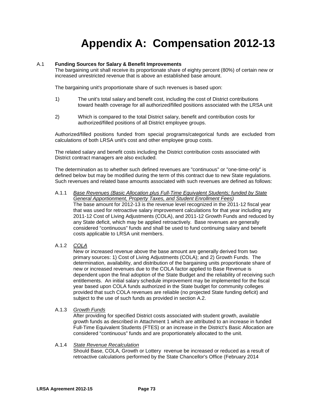# **Appendix A: Compensation 2012-13**

### A.1 **Funding Sources for Salary & Benefit Improvements**

The bargaining unit shall receive its proportionate share of eighty percent (80%) of certain new or increased unrestricted revenue that is above an established base amount.

The bargaining unit's proportionate share of such revenues is based upon:

- 1) The unit's total salary and benefit cost, including the cost of District contributions toward health coverage for all authorized/filled positions associated with the LRSA unit
- 2) Which is compared to the total District salary, benefit and contribution costs for authorized/filled positions of all District employee groups.

Authorized/filled positions funded from special programs/categorical funds are excluded from calculations of both LRSA unit's cost and other employee group costs.

The related salary and benefit costs including the District contribution costs associated with District contract managers are also excluded.

The determination as to whether such defined revenues are "continuous" or "one-time-only" is defined below but may be modified during the term of this contract due to new State regulations. Such revenues and related base amounts associated with such revenues are defined as follows:

- A.1.1 *Base Revenues (Basic Allocation plus Full-Time Equivalent Students; funded by State General Apportionment, Property Taxes, and Student Enrollment Fees)* The base amount for 2012-13 is the revenue level recognized in the 2011-12 fiscal year that was used for retroactive salary improvement calculations for that year including any 2011-12 Cost of Living Adjustments (COLA), and 2011-12 Growth Funds and reduced by any State deficit, which may be applied retroactively. Base revenues are generally considered "continuous" funds and shall be used to fund continuing salary and benefit costs applicable to LRSA unit members.
- A.1.2 *COLA*

New or increased revenue above the base amount are generally derived from two primary sources: 1) Cost of Living Adjustments (COLA); and 2) Growth Funds. The determination, availability, and distribution of the bargaining units proportionate share of new or increased revenues due to the COLA factor applied to Base Revenue is dependent upon the final adoption of the State Budget and the reliability of receiving such entitlements. An initial salary schedule improvement may be implemented for the fiscal year based upon COLA funds authorized in the State budget for community colleges provided that such COLA revenues are reliable (no projected State funding deficit) and subject to the use of such funds as provided in section A.2.

A.1.3 *Growth Funds*

After providing for specified District costs associated with student growth, available growth funds as described in Attachment 1 which are attributed to an increase in funded Full-Time Equivalent Students (FTES) or an increase in the District's Basic Allocation are considered "continuous" funds and are proportionately allocated to the unit.

#### A.1.4 *State Revenue Recalculation*

Should Base, COLA, Growth or Lottery revenue be increased or reduced as a result of retroactive calculations performed by the State Chancellor's Office (February 2014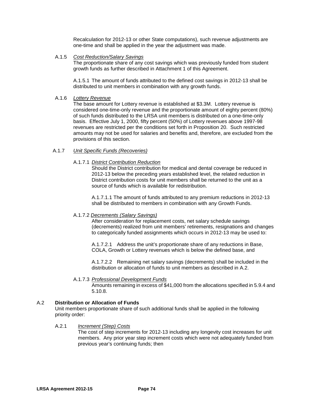Recalculation for 2012-13 or other State computations), such revenue adjustments are one-time and shall be applied in the year the adjustment was made.

### A.1.5 *Cost Reduction/Salary Savings*

The proportionate share of any cost savings which was previously funded from student growth funds as further described in Attachment 1 of this Agreement.

A.1.5.1 The amount of funds attributed to the defined cost savings in 2012-13 shall be distributed to unit members in combination with any growth funds.

#### A.1.6 *Lottery Revenue*

The base amount for Lottery revenue is established at \$3.3M. Lottery revenue is considered one-time-only revenue and the proportionate amount of eighty percent (80%) of such funds distributed to the LRSA unit members is distributed on a one-time-only basis. Effective July 1, 2000, fifty percent (50%) of Lottery revenues above 1997-98 revenues are restricted per the conditions set forth in Proposition 20. Such restricted amounts may not be used for salaries and benefits and, therefore, are excluded from the provisions of this section.

#### A.1.7 *Unit Specific Funds (Recoveries)*

#### A.1.7.1 *District Contribution Reduction*

Should the District contribution for medical and dental coverage be reduced in 2012-13 below the preceding years established level, the related reduction in District contribution costs for unit members shall be returned to the unit as a source of funds which is available for redistribution.

A.1.7.1.1 The amount of funds attributed to any premium reductions in 2012-13 shall be distributed to members in combination with any Growth Funds.

#### A.1.7.2 *Decrements (Salary Savings)*

After consideration for replacement costs, net salary schedule savings (decrements) realized from unit members' retirements, resignations and changes to categorically funded assignments which occurs in 2012-13 may be used to:

A.1.7.2.1 Address the unit's proportionate share of any reductions in Base, COLA, Growth or Lottery revenues which is below the defined base, and

A.1.7.2.2 Remaining net salary savings (decrements) shall be included in the distribution or allocation of funds to unit members as described in A.2.

#### A.1.7.3 *Professional Development Funds*

Amounts remaining in excess of \$41,000 from the allocations specified in 5.9.4 and 5.10.8.

### A.2 **Distribution or Allocation of Funds**

Unit members proportionate share of such additional funds shall be applied in the following priority order:

### A.2.1 *Increment (Step) Costs*

The cost of step increments for 2012-13 including any longevity cost increases for unit members.Any prior year step increment costs which were not adequately funded from previous year's continuing funds; then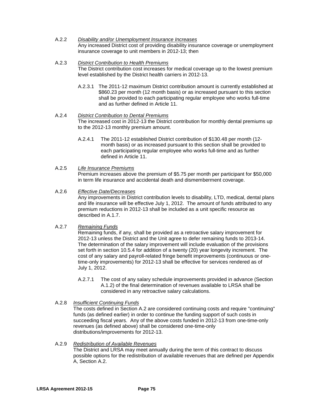A.2.2 *Disability and/or Unemployment Insurance Increases* Any increased District cost of providing disability insurance coverage or unemployment insurance coverage to unit members in 2012-13; then

### A.2.3 *District Contribution to Health Premiums* The District contribution cost increases for medical coverage up to the lowest premium level established by the District health carriers in 2012-13.

- A.2.3.1 The 2011-12 maximum District contribution amount is currently established at \$860.23 per month (12 month basis) or as increased pursuant to this section shall be provided to each participating regular employee who works full-time and as further defined in Article 11.
- A.2.4 *District Contribution to Dental Premiums* The increased cost in 2012-13 the District contribution for monthly dental premiums up to the 2012-13 monthly premium amount.
	- A.2.4.1 The 2011-12 established District contribution of \$130.48 per month (12 month basis) or as increased pursuant to this section shall be provided to each participating regular employee who works full-time and as further defined in Article 11.

### A.2.5 *Life Insurance Premiums*

Premium increases above the premium of \$5.75 per month per participant for \$50,000 in term life insurance and accidental death and dismemberment coverage.

### A.2.6 *Effective Date/Decreases*

Any improvements in District contribution levels to disability, LTD, medical, dental plans and life insurance will be effective July 1, 2012. The amount of funds attributed to any premium reductions in 2012-13 shall be included as a unit specific resource as described in A.1.7.

A.2.7 *Remaining Funds*

Remaining funds, if any, shall be provided as a retroactive salary improvement for 2012-13 unless the District and the Unit agree to defer remaining funds to 2013-14. The determination of the salary improvement will include evaluation of the provisions set forth in section 10.5.4 for addition of a twenty (20) year longevity increment. The cost of any salary and payroll-related fringe benefit improvements (continuous or onetime-only improvements) for 2012-13 shall be effective for services rendered as of July 1, 2012.

- A.2.7.1 The cost of any salary schedule improvements provided in advance (Section A.1.2) of the final determination of revenues available to LRSA shall be considered in any retroactive salary calculations.
- A.2.8 *Insufficient Continuing Funds*

The costs defined in Section A.2 are considered continuing costs and require "continuing" funds (as defined earlier) in order to continue the funding support of such costs in succeeding fiscal years. Any of the above costs funded in 2012-13 from one-time-only revenues (as defined above) shall be considered one-time-only distributions/improvements for 2012-13.

A.2.9 *Redistribution of Available Revenues*

The District and LRSA may meet annually during the term of this contract to discuss possible options for the redistribution of available revenues that are defined per Appendix A, Section A.2.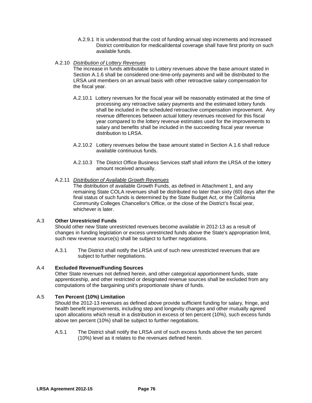- A.2.9.1 It is understood that the cost of funding annual step increments and increased District contribution for medical/dental coverage shall have first priority on such available funds.
- A.2.10 *Distribution of Lottery Revenues*

The increase in funds attributable to Lottery revenues above the base amount stated in Section A.1.6 shall be considered one-time-only payments and will be distributed to the LRSA unit members on an annual basis with other retroactive salary compensation for the fiscal year.

- A.2.10.1 Lottery revenues for the fiscal year will be reasonably estimated at the time of processing any retroactive salary payments and the estimated lottery funds shall be included in the scheduled retroactive compensation improvement. Any revenue differences between actual lottery revenues received for this fiscal year compared to the lottery revenue estimates used for the improvements to salary and benefits shall be included in the succeeding fiscal year revenue distribution to LRSA.
- A.2.10.2 Lottery revenues below the base amount stated in Section A.1.6 shall reduce available continuous funds.
- A.2.10.3 The District Office Business Services staff shall inform the LRSA of the lottery amount received annually.
- A.2.11 *Distribution of Available Growth Revenues*

The distribution of available Growth Funds, as defined in Attachment 1, and any remaining State COLA revenues shall be distributed no later than sixty (60) days after the final status of such funds is determined by the State Budget Act, or the California Community Colleges Chancellor's Office, or the close of the District's fiscal year, whichever is later.

### A.3 **Other Unrestricted Funds**

Should other new State unrestricted revenues become available in 2012-13 as a result of changes in funding legislation or excess unrestricted funds above the State's appropriation limit, such new revenue source(s) shall be subject to further negotiations.

A.3.1 The District shall notify the LRSA unit of such new unrestricted revenues that are subject to further negotiations.

### A.4 **Excluded Revenue/Funding Sources**

Other State revenues not defined herein, and other categorical apportionment funds, state apprenticeship, and other restricted or designated revenue sources shall be excluded from any computations of the bargaining unit's proportionate share of funds.

### A.5 **Ten Percent (10%) Limitation**

Should the 2012-13 revenues as defined above provide sufficient funding for salary, fringe, and health benefit improvements, including step and longevity changes and other mutually agreed upon allocations which result in a distribution in excess of ten percent (10%), such excess funds above ten percent (10%) shall be subject to further negotiations.

A.5.1 The District shall notify the LRSA unit of such excess funds above the ten percent (10%) level as it relates to the revenues defined herein.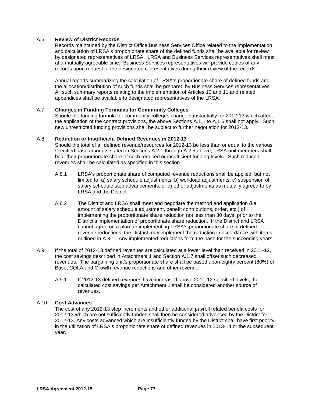### A.6 **Review of District Records**

Records maintained by the District Office Business Services Office related to the implementation and calculation of LRSA's proportionate share of the defined funds shall be available for review by designated representatives of LRSA. LRSA and Business Services representatives shall meet at a mutually agreeable time. Business Services representatives will provide copies of any records upon request of the designated representatives during their review of the records.

Annual reports summarizing the calculation of LRSA's proportionate share of defined funds and the allocation/distribution of such funds shall be prepared by Business Services representatives. All such summary reports relating to the implementation of Articles 10 and 11 and related appendices shall be available to designated representatives of the LRSA.

### A.7 **Changes in Funding Formulas for Community Colleges**

Should the funding formula for community colleges change substantially for 2012-13 which affect the application of the contract provisions, the above Sections A.1.1 to A.1.6 shall not apply. Such new unrestricted funding provisions shall be subject to further negotiation for 2012-13.

### A.8 **Reduction or Insufficient Defined Revenues in 2012-13**

Should the total of all defined revenue/resources for 2012-13 be less than or equal to the various specified base amounts stated in Sections A.2.1 through A.2.5 above, LRSA unit members shall bear their proportionate share of such reduced or insufficient funding levels. Such reduced revenues shall be calculated as specified in this section.

- A.8.1 LRSA's proportionate share of computed revenue reductions shall be applied, but not limited to: a) salary schedule adjustments; b) workload adjustments; c) suspension of salary schedule step advancements; or d) other adjustments as mutually agreed to by LRSA and the District.
- A.8.2 The District and LRSA shall meet and negotiate the method and application (i.e. amount of salary schedule adjustment, benefit contributions, order, etc.) of implementing the proportionate share reduction not less than 30 days prior to the District's implementation of proportionate share reduction. If the District and LRSA cannot agree on a plan for implementing LRSA's proportionate share of defined revenue reductions, the District may implement the reduction in accordance with items outlined in A.8.1. Any implemented reductions form the base for the succeeding years.
- A.9 If the total of 2012-13 defined revenues are calculated at a lower level than received in 2011-12, the cost savings described in Attachment 1 and Section A.1.7 shall offset such decreased revenues. The bargaining unit's proportionate share shall be based upon eighty percent (80%) of Base, COLA and Growth revenue reductions and other revenue.
	- A.9.1 If 2012-13 defined revenues have increased above 2011-12 specified levels, the calculated cost savings per Attachment 1 shall be considered another source of revenues.

### A.10 **Cost Advances**

The cost of any 2012-13 step increments and other additional payroll related benefit costs for 2012-13 which are not sufficiently funded shall then be considered advanced by the District for 2012-13. Any costs advanced which are insufficiently funded by the District shall have first priority in the utilization of LRSA's proportionate share of defined revenues in 2013-14 or the subsequent year.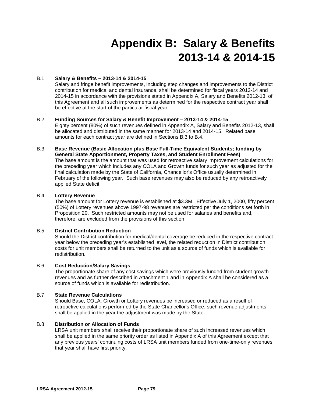# **Appendix B: Salary & Benefits 2013-14 & 2014-15**

### B.1 **Salary & Benefits – 2013-14 & 2014-15**

Salary and fringe benefit improvements, including step changes and improvements to the District contribution for medical and dental insurance, shall be determined for fiscal years 2013-14 and 2014-15 in accordance with the provisions stated in Appendix A, Salary and Benefits 2012-13, of this Agreement and all such improvements as determined for the respective contract year shall be effective at the start of the particular fiscal year.

### B.2 **Funding Sources for Salary & Benefit Improvement – 2013-14 & 2014-15**

Eighty percent (80%) of such revenues defined in Appendix A, Salary and Benefits 2012-13, shall be allocated and distributed in the same manner for 2013-14 and 2014-15. Related base amounts for each contract year are defined in Sections B.3 to B.4.

### B.3 **Base Revenue (Basic Allocation plus Base Full-Time Equivalent Students; funding by General State Apportionment, Property Taxes, and Student Enrollment Fees)**

The base amount is the amount that was used for retroactive salary improvement calculations for the preceding year which includes any COLA and Growth funds for such year as adjusted for the final calculation made by the State of California, Chancellor's Office usually determined in February of the following year. Such base revenues may also be reduced by any retroactively applied State deficit.

### B.4 **Lottery Revenue**

The base amount for Lottery revenue is established at \$3.3M. Effective July 1, 2000, fifty percent (50%) of Lottery revenues above 1997-98 revenues are restricted per the conditions set forth in Proposition 20. Such restricted amounts may not be used for salaries and benefits and, therefore, are excluded from the provisions of this section.

### B.5 **District Contribution Reduction**

Should the District contribution for medical/dental coverage be reduced in the respective contract year below the preceding year's established level, the related reduction in District contribution costs for unit members shall be returned to the unit as a source of funds which is available for redistribution.

### B.6 **Cost Reduction/Salary Savings**

The proportionate share of any cost savings which were previously funded from student growth revenues and as further described in Attachment 1 and in Appendix A shall be considered as a source of funds which is available for redistribution.

### B.7 **State Revenue Calculations**

Should Base, COLA, Growth or Lottery revenues be increased or reduced as a result of retroactive calculations performed by the State Chancellor's Office, such revenue adjustments shall be applied in the year the adjustment was made by the State.

### B.8 **Distribution or Allocation of Funds**

LRSA unit members shall receive their proportionate share of such increased revenues which shall be applied in the same priority order as listed in Appendix A of this Agreement except that any previous years' continuing costs of LRSA unit members funded from one-time-only revenues that year shall have first priority.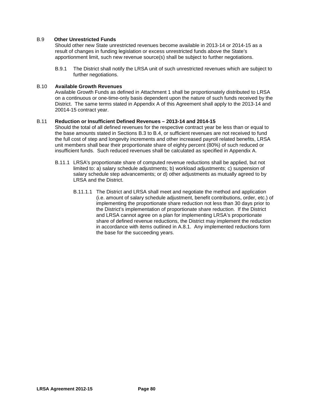### B.9 **Other Unrestricted Funds**

Should other new State unrestricted revenues become available in 2013-14 or 2014-15 as a result of changes in funding legislation or excess unrestricted funds above the State's apportionment limit, such new revenue source(s) shall be subject to further negotiations.

B.9.1 The District shall notify the LRSA unit of such unrestricted revenues which are subject to further negotiations.

### B.10 **Available Growth Revenues**

Available Growth Funds as defined in Attachment 1 shall be proportionately distributed to LRSA on a continuous or one-time-only basis dependent upon the nature of such funds received by the District. The same terms stated in Appendix A of this Agreement shall apply to the 2013-14 and 20014-15 contract year.

#### B.11 **Reduction or Insufficient Defined Revenues – 2013-14 and 2014-15**

Should the total of all defined revenues for the respective contract year be less than or equal to the base amounts stated in Sections B.3 to B.4, or sufficient revenues are not received to fund the full cost of step and longevity increments and other increased payroll related benefits, LRSA unit members shall bear their proportionate share of eighty percent (80%) of such reduced or insufficient funds. Such reduced revenues shall be calculated as specified in Appendix A.

- B.11.1 LRSA's proportionate share of computed revenue reductions shall be applied, but not limited to: a) salary schedule adjustments; b) workload adjustments; c) suspension of salary schedule step advancements; or d) other adjustments as mutually agreed to by LRSA and the District.
	- B.11.1.1 The District and LRSA shall meet and negotiate the method and application (i.e. amount of salary schedule adjustment, benefit contributions, order, etc.) of implementing the proportionate share reduction not less than 30 days prior to the District's implementation of proportionate share reduction. If the District and LRSA cannot agree on a plan for implementing LRSA's proportionate share of defined revenue reductions, the District may implement the reduction in accordance with items outlined in A.8.1. Any implemented reductions form the base for the succeeding years.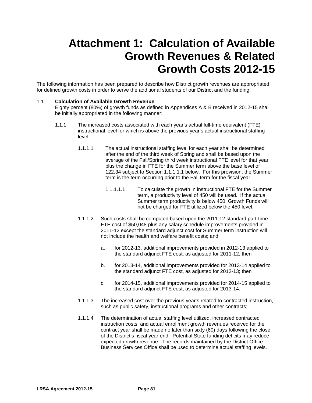# **Attachment 1: Calculation of Available Growth Revenues & Related Growth Costs 2012-15**

The following information has been prepared to describe how District growth revenues are appropriated for defined growth costs in order to serve the additional students of our District and the funding.

### 1.1 **Calculation of Available Growth Revenue**

Eighty percent (80%) of growth funds as defined in Appendices A & B received in 2012-15 shall be initially appropriated in the following manner:

- 1.1.1 The increased costs associated with each year's actual full-time equivalent (FTE) instructional level for which is above the previous year's actual instructional staffing level.
	- 1.1.1.1 The actual instructional staffing level for each year shall be determined after the end of the third week of Spring and shall be based upon the average of the Fall/Spring third week instructional FTE level for that year plus the change in FTE for the Summer term above the base level of 122.34 subject to Section 1.1.1.1.1 below. For this provision, the Summer term is the term occurring prior to the Fall term for the fiscal year.
		- 1.1.1.1.1 To calculate the growth in instructional FTE for the Summer term, a productivity level of 450 will be used. If the actual Summer term productivity is below 450, Growth Funds will not be charged for FTE utilized below the 450 level.
	- 1.1.1.2 Such costs shall be computed based upon the 2011-12 standard part-time FTE cost of \$50,048 plus any salary schedule improvements provided in 2011-12 except the standard adjunct cost for Summer term instruction will not include the health and welfare benefit costs; and
		- a. for 2012-13, additional improvements provided in 2012-13 applied to the standard adjunct FTE cost, as adjusted for 2011-12; then
		- b. for 2013-14, additional improvements provided for 2013-14 applied to the standard adjunct FTE cost, as adjusted for 2012-13; then
		- c. for 2014-15, additional improvements provided for 2014-15 applied to the standard adjunct FTE cost, as adjusted for 2013-14.
	- 1.1.1.3 The increased cost over the previous year's related to contracted instruction, such as public safety, instructional programs and other contracts;
	- 1.1.1.4 The determination of actual staffing level utilized, increased contracted instruction costs, and actual enrollment growth revenues received for the contract year shall be made no later than sixty (60) days following the close of the District's fiscal year end. Potential State funding deficits may reduce expected growth revenue.The records maintained by the District Office Business Services Office shall be used to determine actual staffing levels.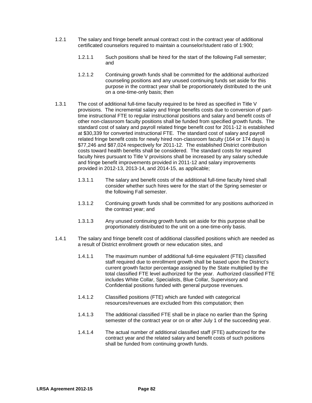- 1.2.1 The salary and fringe benefit annual contract cost in the contract year of additional certificated counselors required to maintain a counselor/student ratio of 1:900;
	- 1.2.1.1 Such positions shall be hired for the start of the following Fall semester; and
	- 1.2.1.2 Continuing growth funds shall be committed for the additional authorized counseling positions and any unused continuing funds set aside for this purpose in the contract year shall be proportionately distributed to the unit on a one-time-only basis; then
- 1.3.1 The cost of additional full-time faculty required to be hired as specified in Title V provisions.The incremental salary and fringe benefits costs due to conversion of parttime instructional FTE to regular instructional positions and salary and benefit costs of other non-classroom faculty positions shall be funded from specified growth funds. The standard cost of salary and payroll related fringe benefit cost for 2011-12 is established at \$30,339 for converted instructional FTE. The standard cost of salary and payroll related fringe benefit costs for newly hired non-classroom faculty (164 or 174 days) is \$77,246 and \$87,024 respectively for 2011-12.The established District contribution costs toward health benefits shall be considered. The standard costs for required faculty hires pursuant to Title V provisions shall be increased by any salary schedule and fringe benefit improvements provided in 2011-12 and salary improvements provided in 2012-13, 2013-14, and 2014-15, as applicable;
	- 1.3.1.1 The salary and benefit costs of the additional full-time faculty hired shall consider whether such hires were for the start of the Spring semester or the following Fall semester.
	- 1.3.1.2 Continuing growth funds shall be committed for any positions authorized in the contract year; and
	- 1.3.1.3 Any unused continuing growth funds set aside for this purpose shall be proportionately distributed to the unit on a one-time-only basis.
- 1.4.1 The salary and fringe benefit cost of additional classified positions which are needed as a result of District enrollment growth or new education sites, and
	- 1.4.1.1 The maximum number of additional full-time equivalent (FTE) classified staff required due to enrollment growth shall be based upon the District's current growth factor percentage assigned by the State multiplied by the total classified FTE level authorized for the year. Authorized classified FTE includes White Collar, Specialists, Blue Collar, Supervisory and Confidential positions funded with general purpose revenues.
	- 1.4.1.2 Classified positions (FTE) which are funded with categorical resources/revenues are excluded from this computation; then
	- 1.4.1.3 The additional classified FTE shall be in place no earlier than the Spring semester of the contract year or on or after July 1 of the succeeding year.
	- 1.4.1.4 The actual number of additional classified staff (FTE) authorized for the contract year and the related salary and benefit costs of such positions shall be funded from continuing growth funds.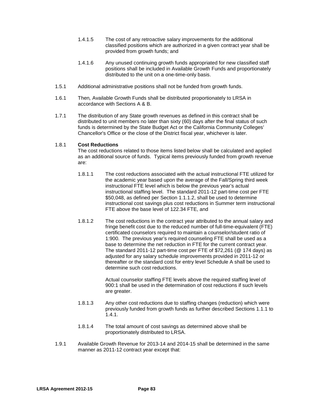- 1.4.1.5 The cost of any retroactive salary improvements for the additional classified positions which are authorized in a given contract year shall be provided from growth funds; and
- 1.4.1.6 Any unused continuing growth funds appropriated for new classified staff positions shall be included in Available Growth Funds and proportionately distributed to the unit on a one-time-only basis.
- 1.5.1 Additional administrative positions shall not be funded from growth funds.
- 1.6.1 Then*,* Available Growth Funds shall be distributed proportionately to LRSA in accordance with Sections A & B.
- 1.7.1 The distribution of any State growth revenues as defined in this contract shall be distributed to unit members no later than sixty (60) days after the final status of such funds is determined by the State Budget Act or the California Community Colleges' Chancellor's Office or the close of the District fiscal year, whichever is later.

### 1.8.1 **Cost Reductions**

The cost reductions related to those items listed below shall be calculated and applied as an additional source of funds. Typical items previously funded from growth revenue are:

- 1.8.1.1 The cost reductions associated with the actual instructional FTE utilized for the academic year based upon the average of the Fall/Spring third week instructional FTE level which is below the previous year's actual instructional staffing level. The standard 2011-12 part-time cost per FTE \$50,048, as defined per Section 1.1.1.2, shall be used to determine instructional cost savings plus cost reductions in Summer term instructional FTE above the base level of 122.34 FTE, and
- 1.8.1.2 The cost reductions in the contract year attributed to the annual salary and fringe benefit cost due to the reduced number of full-time-equivalent (FTE) certificated counselors required to maintain a counselor/student ratio of 1:900. The previous year's required counseling FTE shall be used as a base to determine the net reduction in FTE for the current contract year. The standard 2011-12 part-time cost per FTE of \$72,261 (@ 174 days) as adjusted for any salary schedule improvements provided in 2011-12 or thereafter or the standard cost for entry level Schedule A shall be used to determine such cost reductions.

Actual counselor staffing FTE levels above the required staffing level of 900:1 shall be used in the determination of cost reductions if such levels are greater.

- 1.8.1.3 Any other cost reductions due to staffing changes (reduction) which were previously funded from growth funds as further described Sections 1.1.1 to 1.4.1.
- 1.8.1.4 The total amount of cost savings as determined above shall be proportionately distributed to LRSA.
- 1.9.1 Available Growth Revenue for 2013-14 and 2014-15 shall be determined in the same manner as 2011-12 contract year except that: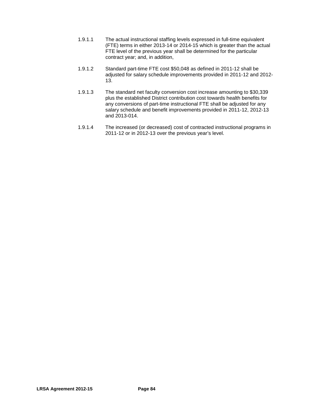- 1.9.1.1 The actual instructional staffing levels expressed in full-time equivalent (FTE) terms in either 2013-14 or 2014-15 which is greater than the actual FTE level of the previous year shall be determined for the particular contract year; and, in addition,
- 1.9.1.2 Standard part-time FTE cost \$50,048 as defined in 2011-12 shall be adjusted for salary schedule improvements provided in 2011-12 and 2012- 13.
- 1.9.1.3 The standard net faculty conversion cost increase amounting to \$30,339 plus the established District contribution cost towards health benefits for any conversions of part-time instructional FTE shall be adjusted for any salary schedule and benefit improvements provided in 2011-12, 2012-13 and 2013-014.
- 1.9.1.4 The increased (or decreased) cost of contracted instructional programs in 2011-12 or in 2012-13 over the previous year's level.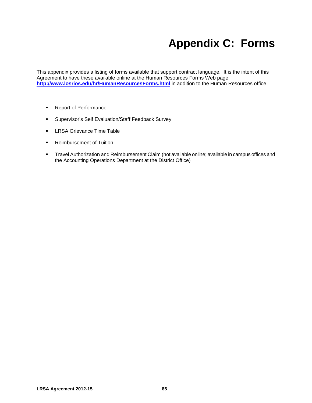# **Appendix C: Forms**

This appendix provides a listing of forms available that support contract language. It is the intent of this Agreement to have these available online at the Human Resources Forms Web page <http://www.losrios.edu/hr/HumanResourcesForms.html> in addition to the Human Resources office.

- **Report of Performance**
- **Supervisor's Self Evaluation/Staff Feedback Survey**
- **LRSA Grievance Time Table**
- **Reimbursement of Tuition**
- Travel Authorization and Reimbursement Claim (not available online; available in campus offices and the Accounting Operations Department at the District Office)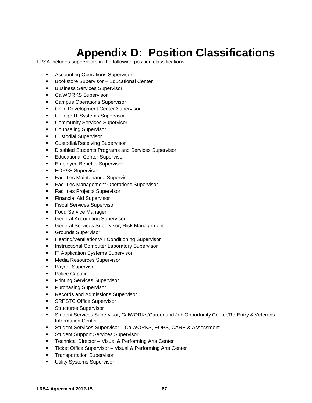# **Appendix D: Position Classifications**

LRSA includes supervisors in the following position classifications:

- **Accounting Operations Supervisor**
- **Bookstore Supervisor Educational Center**
- **Business Services Supervisor**
- **CalWORKS Supervisor**
- **EXEC** Campus Operations Supervisor
- **Child Development Center Supervisor**
- **College IT Systems Supervisor**
- **EXECOMMUNITY Services Supervisor**
- **Counseling Supervisor**
- **Custodial Supervisor**
- **EXECUSTOM** Custodial/Receiving Supervisor
- **Disabled Students Programs and Services Supervisor**
- **Educational Center Supervisor**
- **Employee Benefits Supervisor**
- **EOP&S Supervisor**
- **Facilities Maintenance Supervisor**
- **Facilities Management Operations Supervisor**
- **Facilities Projects Supervisor**
- **Financial Aid Supervisor**
- **Fiscal Services Supervisor**
- **Food Service Manager**
- **General Accounting Supervisor**
- **General Services Supervisor, Risk Management**
- **Grounds Supervisor**
- **EXECTE:** Heating/Ventilation/Air Conditioning Supervisor
- **Instructional Computer Laboratory Supervisor**
- **IT Application Systems Supervisor**
- **Media Resources Supervisor**
- **Payroll Supervisor**
- Police Captain
- **Printing Services Supervisor**
- **Purchasing Supervisor**
- **Records and Admissions Supervisor**
- **SRPSTC Office Supervisor**
- **Structures Supervisor**
- Student Services Supervisor, CalWORKs/Career and Job Opportunity Center/Re-Entry & Veterans Information Center
- **Student Services Supervisor CalWORKS, EOPS, CARE & Assessment**
- **Student Support Services Supervisor**
- **Technical Director Visual & Performing Arts Center**
- **Ticket Office Supervisor Visual & Performing Arts Center**
- **Transportation Supervisor**
- **Utility Systems Supervisor**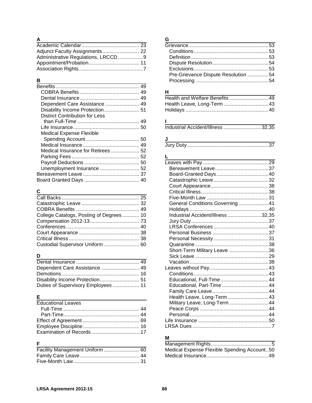### **A**

| Adjunct Faculty Assignments 22 |  |
|--------------------------------|--|
|                                |  |
|                                |  |
|                                |  |

## **B**

| Dependent Care Assistance  49         |  |
|---------------------------------------|--|
|                                       |  |
| <b>District Contribution for Less</b> |  |
|                                       |  |
|                                       |  |
| <b>Medical Expense Flexible</b>       |  |
|                                       |  |
|                                       |  |
| Medical Insurance for Retirees  52    |  |
|                                       |  |
|                                       |  |
|                                       |  |
|                                       |  |
|                                       |  |
|                                       |  |

## **C**

| College Catalogs, Posting of Degrees 10 |  |
|-----------------------------------------|--|
|                                         |  |
|                                         |  |
|                                         |  |
|                                         |  |
| Custodial Supervisor Uniform  60        |  |

## **D**

| Dependent Care Assistance  49      |
|------------------------------------|
|                                    |
|                                    |
| Duties of Supervisory Employees 11 |
|                                    |

## **E**

| <b>Educational Leaves</b> |  |
|---------------------------|--|
|                           |  |
|                           |  |
|                           |  |
|                           |  |
|                           |  |

## **F**

| Facility Management Uniform  60 |  |
|---------------------------------|--|
|                                 |  |
|                                 |  |

## **G**

| Pre-Grievance Dispute Resolution 54 |  |
|-------------------------------------|--|
|                                     |  |
|                                     |  |

## **H**

## $\frac{1}{\ln}$

| Industrial Accident/Illness 32,35 |
|-----------------------------------|
|-----------------------------------|

## **J**

| Jury Duty………………………………………………37 |  |
|-------------------------------|--|
|-------------------------------|--|

## **L**

| General Conditions Governing 41   |  |
|-----------------------------------|--|
|                                   |  |
| Industrial Accident/Illness 32,35 |  |
|                                   |  |
|                                   |  |
|                                   |  |
|                                   |  |
|                                   |  |
| Short-Term Military Leave 36      |  |
|                                   |  |
|                                   |  |
|                                   |  |
|                                   |  |
|                                   |  |
| Educational, Part-Time  44        |  |
|                                   |  |
| Health Leave, Long-Term43         |  |
| Military Leave, Long-Term44       |  |
|                                   |  |
|                                   |  |
|                                   |  |
|                                   |  |

## **M**

i.

| Medical Expense Flexible Spending Account50 |  |
|---------------------------------------------|--|
|                                             |  |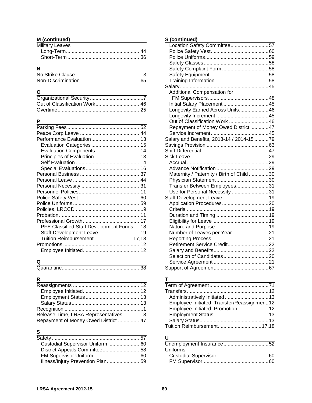### **M (continued)**

| Military Leaves |  |
|-----------------|--|
|                 |  |
|                 |  |

## **N**

### **O**

### **P**

| Evaluation Components 14                  |  |
|-------------------------------------------|--|
| Principles of Evaluation 13               |  |
|                                           |  |
|                                           |  |
|                                           |  |
|                                           |  |
|                                           |  |
|                                           |  |
|                                           |  |
|                                           |  |
|                                           |  |
|                                           |  |
|                                           |  |
| PFE Classified Staff Development Funds 18 |  |
| Staff Development Leave 19                |  |
| Tuition Reimbursement 17,18               |  |
|                                           |  |
|                                           |  |
|                                           |  |

## **Q**

|--|--|

## **R**

| Release Time, LRSA Representatives 8 |  |
|--------------------------------------|--|
| Repayment of Money Owed District  47 |  |

## **S**

| Custodial Supervisor Uniform  60  |  |
|-----------------------------------|--|
|                                   |  |
|                                   |  |
| Illness/Injury Prevention Plan 59 |  |
|                                   |  |

## **S (continued)**

| Location Safety Committee57               |  |
|-------------------------------------------|--|
|                                           |  |
|                                           |  |
|                                           |  |
|                                           |  |
|                                           |  |
|                                           |  |
|                                           |  |
| Additional Compensation for               |  |
|                                           |  |
| Initial Salary Placement 45               |  |
| Longevity Earned Across Units46           |  |
|                                           |  |
| Out of Classification Work 46             |  |
| Repayment of Money Owed District  47      |  |
|                                           |  |
| Salary and Benefits, 2013-14 / 2014-15 79 |  |
|                                           |  |
|                                           |  |
|                                           |  |
|                                           |  |
|                                           |  |
| Maternity / Paternity / Birth of Child 30 |  |
|                                           |  |
| Transfer Between Employees31              |  |
| Use for Personal Necessity 31             |  |
| Staff Development Leave  19               |  |
|                                           |  |
|                                           |  |
|                                           |  |
|                                           |  |
|                                           |  |
| Number of Leaves per Year21               |  |
|                                           |  |
| Retirement Service Credit22               |  |
|                                           |  |
|                                           |  |
|                                           |  |
|                                           |  |

## **T**

| Administratively Initiated 13                 |  |
|-----------------------------------------------|--|
| Employee Initiated, Transfer/Reassignment. 12 |  |
| Employee Initiated, Promotion 12              |  |
|                                               |  |
|                                               |  |
| Tuition Reimbursement17,18                    |  |
|                                               |  |

### **U**

| Uniforms |  |
|----------|--|
|          |  |
|          |  |